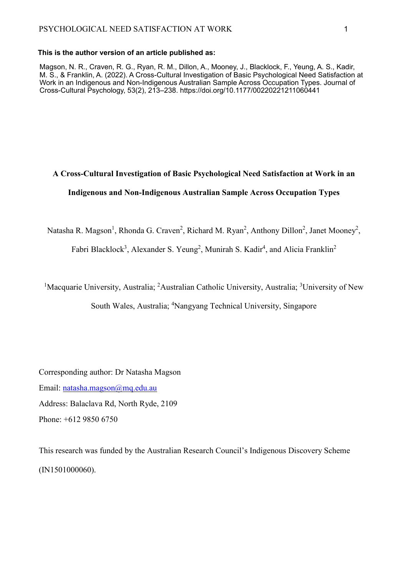#### **This is the author version of an article published as:**

Magson, N. R., Craven, R. G., Ryan, R. M., Dillon, A., Mooney, J., Blacklock, F., Yeung, A. S., Kadir, M. S., & Franklin, A. (2022). A Cross-Cultural Investigation of Basic Psychological Need Satisfaction at Work in an Indigenous and Non-Indigenous Australian Sample Across Occupation Types. Journal of Cross-Cultural Psychology, 53(2), 213–238. https://doi.org/10.1177/00220221211060441

# **A Cross-Cultural Investigation of Basic Psychological Need Satisfaction at Work in an Indigenous and Non-Indigenous Australian Sample Across Occupation Types**

Natasha R. Magson<sup>1</sup>, Rhonda G. Craven<sup>2</sup>, Richard M. Ryan<sup>2</sup>, Anthony Dillon<sup>2</sup>, Janet Mooney<sup>2</sup>,

Fabri Blacklock<sup>3</sup>, Alexander S. Yeung<sup>2</sup>, Munirah S. Kadir<sup>4</sup>, and Alicia Franklin<sup>2</sup>

<sup>1</sup>Macquarie University, Australia; <sup>2</sup>Australian Catholic University, Australia; <sup>3</sup>University of New

South Wales, Australia; <sup>4</sup>Nangyang Technical University, Singapore

Corresponding author: Dr Natasha Magson Email: [natasha.magson@mq.edu.au](mailto:natasha.magson@mq.edu.au) Address: Balaclava Rd, North Ryde, 2109 Phone: +612 9850 6750

This research was funded by the Australian Research Council's Indigenous Discovery Scheme (IN1501000060).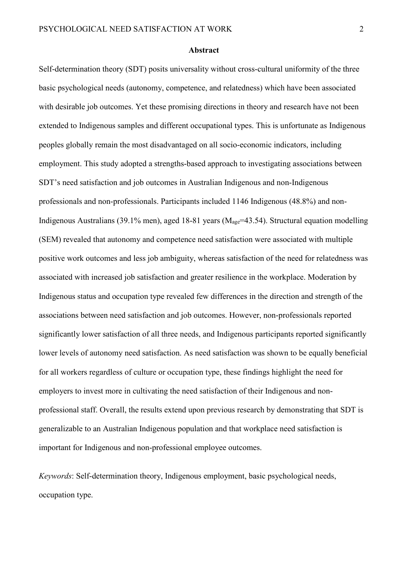#### **Abstract**

Self-determination theory (SDT) posits universality without cross-cultural uniformity of the three basic psychological needs (autonomy, competence, and relatedness) which have been associated with desirable job outcomes. Yet these promising directions in theory and research have not been extended to Indigenous samples and different occupational types. This is unfortunate as Indigenous peoples globally remain the most disadvantaged on all socio-economic indicators, including employment. This study adopted a strengths-based approach to investigating associations between SDT's need satisfaction and job outcomes in Australian Indigenous and non-Indigenous professionals and non-professionals. Participants included 1146 Indigenous (48.8%) and non-Indigenous Australians (39.1% men), aged 18-81 years ( $M_{\text{age}}$ =43.54). Structural equation modelling (SEM) revealed that autonomy and competence need satisfaction were associated with multiple positive work outcomes and less job ambiguity, whereas satisfaction of the need for relatedness was associated with increased job satisfaction and greater resilience in the workplace. Moderation by Indigenous status and occupation type revealed few differences in the direction and strength of the associations between need satisfaction and job outcomes. However, non-professionals reported significantly lower satisfaction of all three needs, and Indigenous participants reported significantly lower levels of autonomy need satisfaction. As need satisfaction was shown to be equally beneficial for all workers regardless of culture or occupation type, these findings highlight the need for employers to invest more in cultivating the need satisfaction of their Indigenous and nonprofessional staff. Overall, the results extend upon previous research by demonstrating that SDT is generalizable to an Australian Indigenous population and that workplace need satisfaction is important for Indigenous and non-professional employee outcomes.

*Keywords*: Self-determination theory, Indigenous employment, basic psychological needs, occupation type.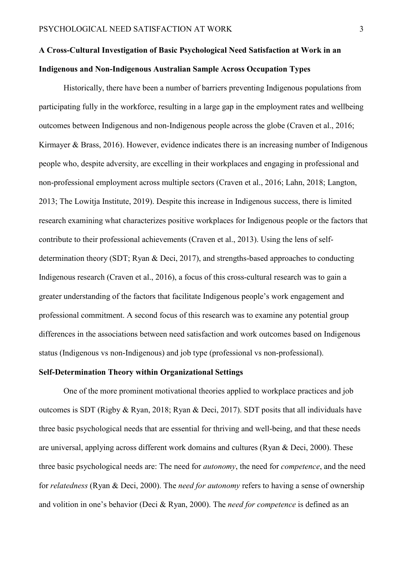# **A Cross-Cultural Investigation of Basic Psychological Need Satisfaction at Work in an Indigenous and Non-Indigenous Australian Sample Across Occupation Types**

Historically, there have been a number of barriers preventing Indigenous populations from participating fully in the workforce, resulting in a large gap in the employment rates and wellbeing outcomes between Indigenous and non-Indigenous people across the globe (Craven et al., 2016; Kirmayer & Brass, 2016). However, evidence indicates there is an increasing number of Indigenous people who, despite adversity, are excelling in their workplaces and engaging in professional and non-professional employment across multiple sectors (Craven et al., 2016; Lahn, 2018; Langton, 2013; The Lowitja Institute, 2019). Despite this increase in Indigenous success, there is limited research examining what characterizes positive workplaces for Indigenous people or the factors that contribute to their professional achievements (Craven et al., 2013). Using the lens of selfdetermination theory (SDT; Ryan & Deci, 2017), and strengths-based approaches to conducting Indigenous research (Craven et al., 2016), a focus of this cross-cultural research was to gain a greater understanding of the factors that facilitate Indigenous people's work engagement and professional commitment. A second focus of this research was to examine any potential group differences in the associations between need satisfaction and work outcomes based on Indigenous status (Indigenous vs non-Indigenous) and job type (professional vs non-professional).

### **Self-Determination Theory within Organizational Settings**

One of the more prominent motivational theories applied to workplace practices and job outcomes is SDT (Rigby & Ryan, 2018; Ryan & Deci, 2017). SDT posits that all individuals have three basic psychological needs that are essential for thriving and well-being, and that these needs are universal, applying across different work domains and cultures (Ryan & Deci, 2000). These three basic psychological needs are: The need for *autonomy*, the need for *competence*, and the need for *relatedness* (Ryan & Deci, 2000). The *need for autonomy* refers to having a sense of ownership and volition in one's behavior (Deci & Ryan, 2000). The *need for competence* is defined as an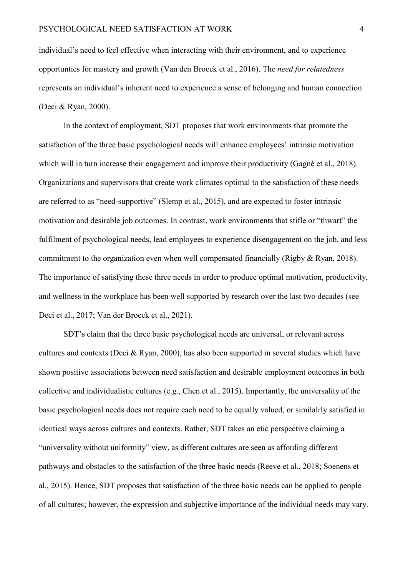individual's need to feel effective when interacting with their environment, and to experience opportunties for mastery and growth (Van den Broeck et al., 2016). The *need for relatedness* represents an individual's inherent need to experience a sense of belonging and human connection (Deci & Ryan, 2000).

In the context of employment, SDT proposes that work environments that promote the satisfaction of the three basic psychological needs will enhance employees' intrinsic motivation which will in turn increase their engagement and improve their productivity (Gagné et al., 2018). Organizations and supervisors that create work climates optimal to the satisfaction of these needs are referred to as "need-supportive" (Slemp et al., 2015), and are expected to foster intrinsic motivation and desirable job outcomes. In contrast, work environments that stifle or "thwart" the fulfilment of psychological needs, lead employees to experience disengagement on the job, and less commitment to the organization even when well compensated financially (Rigby & Ryan, 2018). The importance of satisfying these three needs in order to produce optimal motivation, productivity, and wellness in the workplace has been well supported by research over the last two decades (see Deci et al., 2017; Van der Broeck et al., 2021).

SDT's claim that the three basic psychological needs are universal, or relevant across cultures and contexts (Deci & Ryan, 2000), has also been supported in several studies which have shown positive associations between need satisfaction and desirable employment outcomes in both collective and individualistic cultures (e.g., Chen et al., 2015). Importantly, the universality of the basic psychological needs does not require each need to be equally valued, or similalrly satisfied in identical ways across cultures and contexts. Rather, SDT takes an etic perspective claiming a "universality without uniformity" view, as different cultures are seen as affording different pathways and obstacles to the satisfaction of the three basic needs (Reeve et al., 2018; Soenens et al., 2015). Hence, SDT proposes that satisfaction of the three basic needs can be applied to people of all cultures; however, the expression and subjective importance of the individual needs may vary.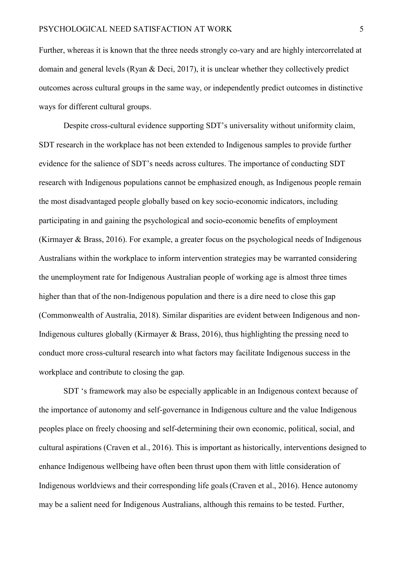Further, whereas it is known that the three needs strongly co-vary and are highly intercorrelated at domain and general levels (Ryan & Deci, 2017), it is unclear whether they collectively predict outcomes across cultural groups in the same way, or independently predict outcomes in distinctive ways for different cultural groups.

Despite cross-cultural evidence supporting SDT's universality without uniformity claim, SDT research in the workplace has not been extended to Indigenous samples to provide further evidence for the salience of SDT's needs across cultures. The importance of conducting SDT research with Indigenous populations cannot be emphasized enough, as Indigenous people remain the most disadvantaged people globally based on key socio-economic indicators, including participating in and gaining the psychological and socio-economic benefits of employment (Kirmayer & Brass, 2016). For example, a greater focus on the psychological needs of Indigenous Australians within the workplace to inform intervention strategies may be warranted considering the unemployment rate for Indigenous Australian people of working age is almost three times higher than that of the non-Indigenous population and there is a dire need to close this gap (Commonwealth of Australia, 2018). Similar disparities are evident between Indigenous and non-Indigenous cultures globally (Kirmayer & Brass, 2016), thus highlighting the pressing need to conduct more cross-cultural research into what factors may facilitate Indigenous success in the workplace and contribute to closing the gap.

SDT 's framework may also be especially applicable in an Indigenous context because of the importance of autonomy and self-governance in Indigenous culture and the value Indigenous peoples place on freely choosing and self-determining their own economic, political, social, and cultural aspirations (Craven et al., 2016). This is important as historically, interventions designed to enhance Indigenous wellbeing have often been thrust upon them with little consideration of Indigenous worldviews and their corresponding life goals(Craven et al., 2016). Hence autonomy may be a salient need for Indigenous Australians, although this remains to be tested. Further,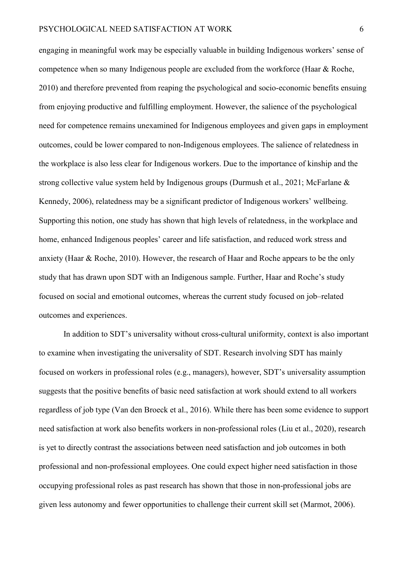engaging in meaningful work may be especially valuable in building Indigenous workers' sense of competence when so many Indigenous people are excluded from the workforce (Haar & Roche, 2010) and therefore prevented from reaping the psychological and socio-economic benefits ensuing from enjoying productive and fulfilling employment. However, the salience of the psychological need for competence remains unexamined for Indigenous employees and given gaps in employment outcomes, could be lower compared to non-Indigenous employees. The salience of relatedness in the workplace is also less clear for Indigenous workers. Due to the importance of kinship and the strong collective value system held by Indigenous groups (Durmush et al., 2021; McFarlane & Kennedy, 2006), relatedness may be a significant predictor of Indigenous workers' wellbeing. Supporting this notion, one study has shown that high levels of relatedness, in the workplace and home, enhanced Indigenous peoples' career and life satisfaction, and reduced work stress and anxiety (Haar & Roche, 2010). However, the research of Haar and Roche appears to be the only study that has drawn upon SDT with an Indigenous sample. Further, Haar and Roche's study focused on social and emotional outcomes, whereas the current study focused on job–related outcomes and experiences.

In addition to SDT's universality without cross-cultural uniformity, context is also important to examine when investigating the universality of SDT. Research involving SDT has mainly focused on workers in professional roles (e.g., managers), however, SDT's universality assumption suggests that the positive benefits of basic need satisfaction at work should extend to all workers regardless of job type (Van den Broeck et al., 2016). While there has been some evidence to support need satisfaction at work also benefits workers in non-professional roles (Liu et al., 2020), research is yet to directly contrast the associations between need satisfaction and job outcomes in both professional and non-professional employees. One could expect higher need satisfaction in those occupying professional roles as past research has shown that those in non-professional jobs are given less autonomy and fewer opportunities to challenge their current skill set (Marmot, 2006).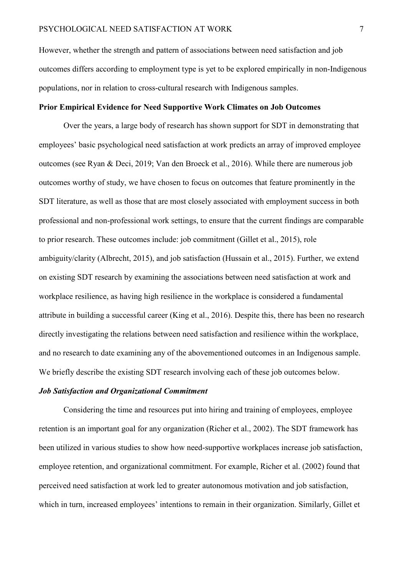However, whether the strength and pattern of associations between need satisfaction and job outcomes differs according to employment type is yet to be explored empirically in non-Indigenous populations, nor in relation to cross-cultural research with Indigenous samples.

#### **Prior Empirical Evidence for Need Supportive Work Climates on Job Outcomes**

Over the years, a large body of research has shown support for SDT in demonstrating that employees' basic psychological need satisfaction at work predicts an array of improved employee outcomes (see Ryan & Deci, 2019; Van den Broeck et al., 2016). While there are numerous job outcomes worthy of study, we have chosen to focus on outcomes that feature prominently in the SDT literature, as well as those that are most closely associated with employment success in both professional and non-professional work settings, to ensure that the current findings are comparable to prior research. These outcomes include: job commitment (Gillet et al., 2015), role ambiguity/clarity (Albrecht, 2015), and job satisfaction (Hussain et al., 2015). Further, we extend on existing SDT research by examining the associations between need satisfaction at work and workplace resilience, as having high resilience in the workplace is considered a fundamental attribute in building a successful career (King et al., 2016). Despite this, there has been no research directly investigating the relations between need satisfaction and resilience within the workplace, and no research to date examining any of the abovementioned outcomes in an Indigenous sample. We briefly describe the existing SDT research involving each of these job outcomes below.

#### *Job Satisfaction and Organizational Commitment*

Considering the time and resources put into hiring and training of employees, employee retention is an important goal for any organization (Richer et al., 2002). The SDT framework has been utilized in various studies to show how need-supportive workplaces increase job satisfaction, employee retention, and organizational commitment. For example, Richer et al. (2002) found that perceived need satisfaction at work led to greater autonomous motivation and job satisfaction, which in turn, increased employees' intentions to remain in their organization. Similarly, Gillet et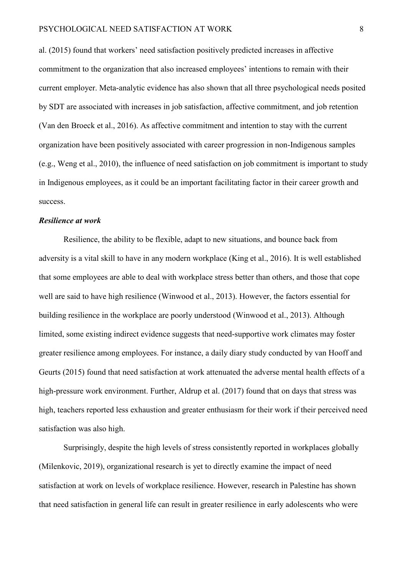al. (2015) found that workers' need satisfaction positively predicted increases in affective commitment to the organization that also increased employees' intentions to remain with their current employer. Meta-analytic evidence has also shown that all three psychological needs posited by SDT are associated with increases in job satisfaction, affective commitment, and job retention (Van den Broeck et al., 2016). As affective commitment and intention to stay with the current organization have been positively associated with career progression in non-Indigenous samples (e.g., Weng et al., 2010), the influence of need satisfaction on job commitment is important to study in Indigenous employees, as it could be an important facilitating factor in their career growth and success.

#### *Resilience at work*

Resilience, the ability to be flexible, adapt to new situations, and bounce back from adversity is a vital skill to have in any modern workplace (King et al., 2016). It is well established that some employees are able to deal with workplace stress better than others, and those that cope well are said to have high resilience (Winwood et al., 2013). However, the factors essential for building resilience in the workplace are poorly understood (Winwood et al., 2013). Although limited, some existing indirect evidence suggests that need-supportive work climates may foster greater resilience among employees. For instance, a daily diary study conducted by van Hooff and Geurts (2015) found that need satisfaction at work attenuated the adverse mental health effects of a high-pressure work environment. Further, Aldrup et al. (2017) found that on days that stress was high, teachers reported less exhaustion and greater enthusiasm for their work if their perceived need satisfaction was also high.

Surprisingly, despite the high levels of stress consistently reported in workplaces globally (Milenkovic, 2019), organizational research is yet to directly examine the impact of need satisfaction at work on levels of workplace resilience. However, research in Palestine has shown that need satisfaction in general life can result in greater resilience in early adolescents who were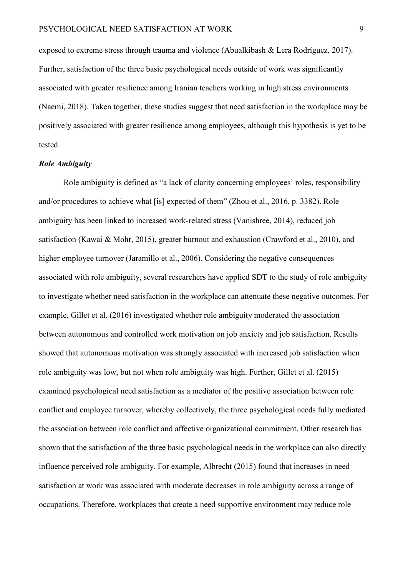exposed to extreme stress through trauma and violence (Abualkibash & Lera Rodríguez, 2017). Further, satisfaction of the three basic psychological needs outside of work was significantly associated with greater resilience among Iranian teachers working in high stress environments (Naemi, 2018). Taken together, these studies suggest that need satisfaction in the workplace may be positively associated with greater resilience among employees, although this hypothesis is yet to be tested.

#### *Role Ambiguity*

Role ambiguity is defined as "a lack of clarity concerning employees' roles, responsibility and/or procedures to achieve what [is] expected of them" (Zhou et al., 2016, p. 3382). Role ambiguity has been linked to increased work-related stress (Vanishree, 2014), reduced job satisfaction (Kawai & Mohr, 2015), greater burnout and exhaustion (Crawford et al., 2010), and higher employee turnover (Jaramillo et al., 2006). Considering the negative consequences associated with role ambiguity, several researchers have applied SDT to the study of role ambiguity to investigate whether need satisfaction in the workplace can attenuate these negative outcomes. For example, Gillet et al. (2016) investigated whether role ambiguity moderated the association between autonomous and controlled work motivation on job anxiety and job satisfaction. Results showed that autonomous motivation was strongly associated with increased job satisfaction when role ambiguity was low, but not when role ambiguity was high. Further, Gillet et al. (2015) examined psychological need satisfaction as a mediator of the positive association between role conflict and employee turnover, whereby collectively, the three psychological needs fully mediated the association between role conflict and affective organizational commitment. Other research has shown that the satisfaction of the three basic psychological needs in the workplace can also directly influence perceived role ambiguity. For example, Albrecht (2015) found that increases in need satisfaction at work was associated with moderate decreases in role ambiguity across a range of occupations. Therefore, workplaces that create a need supportive environment may reduce role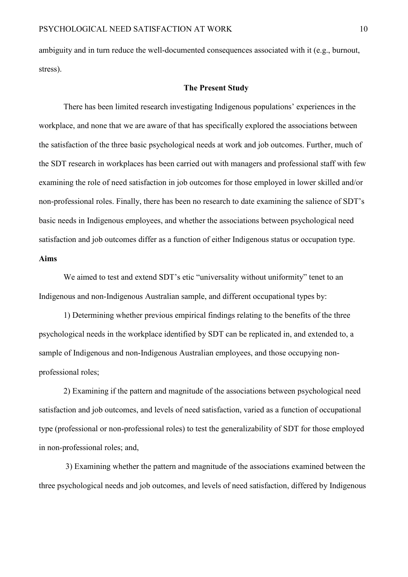ambiguity and in turn reduce the well-documented consequences associated with it (e.g., burnout, stress).

# **The Present Study**

There has been limited research investigating Indigenous populations' experiences in the workplace, and none that we are aware of that has specifically explored the associations between the satisfaction of the three basic psychological needs at work and job outcomes. Further, much of the SDT research in workplaces has been carried out with managers and professional staff with few examining the role of need satisfaction in job outcomes for those employed in lower skilled and/or non-professional roles. Finally, there has been no research to date examining the salience of SDT's basic needs in Indigenous employees, and whether the associations between psychological need satisfaction and job outcomes differ as a function of either Indigenous status or occupation type. **Aims**

We aimed to test and extend SDT's etic "universality without uniformity" tenet to an Indigenous and non-Indigenous Australian sample, and different occupational types by:

1) Determining whether previous empirical findings relating to the benefits of the three psychological needs in the workplace identified by SDT can be replicated in, and extended to, a sample of Indigenous and non-Indigenous Australian employees, and those occupying nonprofessional roles;

2) Examining if the pattern and magnitude of the associations between psychological need satisfaction and job outcomes, and levels of need satisfaction, varied as a function of occupational type (professional or non-professional roles) to test the generalizability of SDT for those employed in non-professional roles; and,

3) Examining whether the pattern and magnitude of the associations examined between the three psychological needs and job outcomes, and levels of need satisfaction, differed by Indigenous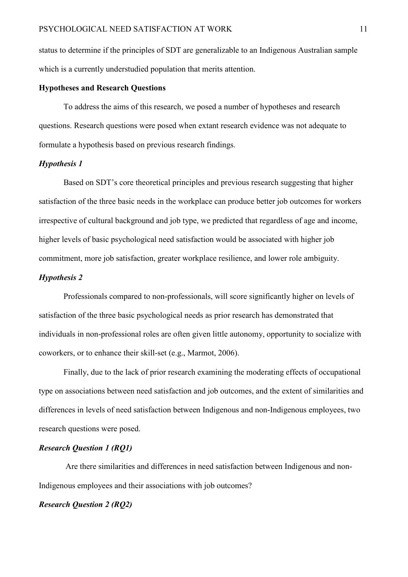status to determine if the principles of SDT are generalizable to an Indigenous Australian sample which is a currently understudied population that merits attention.

# **Hypotheses and Research Questions**

To address the aims of this research, we posed a number of hypotheses and research questions. Research questions were posed when extant research evidence was not adequate to formulate a hypothesis based on previous research findings.

#### *Hypothesis 1*

Based on SDT's core theoretical principles and previous research suggesting that higher satisfaction of the three basic needs in the workplace can produce better job outcomes for workers irrespective of cultural background and job type, we predicted that regardless of age and income, higher levels of basic psychological need satisfaction would be associated with higher job commitment, more job satisfaction, greater workplace resilience, and lower role ambiguity.

# *Hypothesis 2*

Professionals compared to non-professionals, will score significantly higher on levels of satisfaction of the three basic psychological needs as prior research has demonstrated that individuals in non-professional roles are often given little autonomy, opportunity to socialize with coworkers, or to enhance their skill-set (e.g., Marmot, 2006).

Finally, due to the lack of prior research examining the moderating effects of occupational type on associations between need satisfaction and job outcomes, and the extent of similarities and differences in levels of need satisfaction between Indigenous and non-Indigenous employees, two research questions were posed.

# *Research Question 1 (RQ1)*

Are there similarities and differences in need satisfaction between Indigenous and non-Indigenous employees and their associations with job outcomes?

# *Research Question 2 (RQ2)*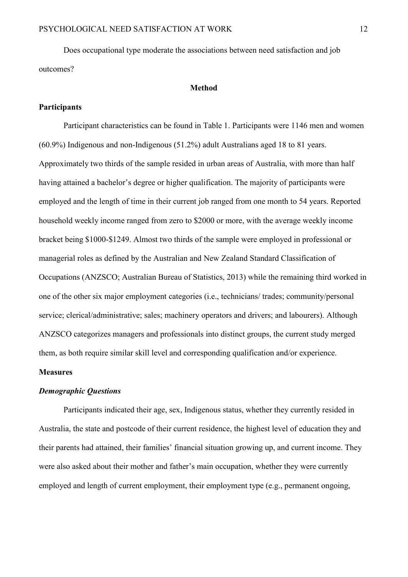Does occupational type moderate the associations between need satisfaction and job outcomes?

#### **Method**

#### **Participants**

Participant characteristics can be found in Table 1. Participants were 1146 men and women (60.9%) Indigenous and non-Indigenous (51.2%) adult Australians aged 18 to 81 years. Approximately two thirds of the sample resided in urban areas of Australia, with more than half having attained a bachelor's degree or higher qualification. The majority of participants were employed and the length of time in their current job ranged from one month to 54 years. Reported household weekly income ranged from zero to \$2000 or more, with the average weekly income bracket being \$1000-\$1249. Almost two thirds of the sample were employed in professional or managerial roles as defined by the Australian and New Zealand Standard Classification of Occupations (ANZSCO; Australian Bureau of Statistics, 2013) while the remaining third worked in one of the other six major employment categories (i.e., technicians/ trades; community/personal service; clerical/administrative; sales; machinery operators and drivers; and labourers). Although ANZSCO categorizes managers and professionals into distinct groups, the current study merged them, as both require similar skill level and corresponding qualification and/or experience.

#### **Measures**

# *Demographic Questions*

Participants indicated their age, sex, Indigenous status, whether they currently resided in Australia, the state and postcode of their current residence, the highest level of education they and their parents had attained, their families' financial situation growing up, and current income. They were also asked about their mother and father's main occupation, whether they were currently employed and length of current employment, their employment type (e.g., permanent ongoing,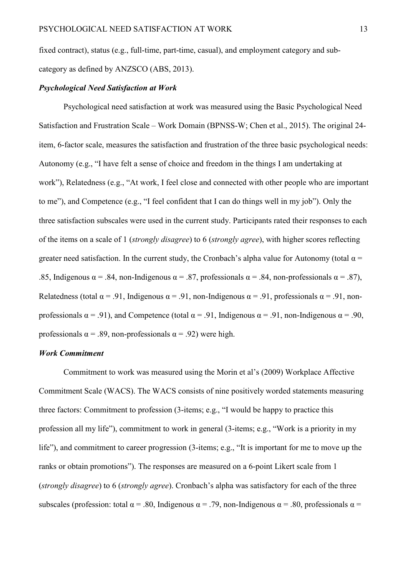fixed contract), status (e.g., full-time, part-time, casual), and employment category and subcategory as defined by ANZSCO (ABS, 2013).

### *Psychological Need Satisfaction at Work*

Psychological need satisfaction at work was measured using the Basic Psychological Need Satisfaction and Frustration Scale – Work Domain (BPNSS-W; Chen et al., 2015). The original 24 item, 6-factor scale, measures the satisfaction and frustration of the three basic psychological needs: Autonomy (e.g., "I have felt a sense of choice and freedom in the things I am undertaking at work"), Relatedness (e.g., "At work, I feel close and connected with other people who are important to me"), and Competence (e.g., "I feel confident that I can do things well in my job"). Only the three satisfaction subscales were used in the current study. Participants rated their responses to each of the items on a scale of 1 (*strongly disagree*) to 6 (*strongly agree*), with higher scores reflecting greater need satisfaction. In the current study, the Cronbach's alpha value for Autonomy (total  $\alpha$  = .85, Indigenous  $\alpha = .84$ , non-Indigenous  $\alpha = .87$ , professionals  $\alpha = .84$ , non-professionals  $\alpha = .87$ ), Relatedness (total  $\alpha = .91$ , Indigenous  $\alpha = .91$ , non-Indigenous  $\alpha = .91$ , professionals  $\alpha = .91$ , nonprofessionals  $\alpha = .91$ ), and Competence (total  $\alpha = .91$ , Indigenous  $\alpha = .91$ , non-Indigenous  $\alpha = .90$ , professionals  $\alpha$  = .89, non-professionals  $\alpha$  = .92) were high.

# *Work Commitment*

Commitment to work was measured using the Morin et al's (2009) Workplace Affective Commitment Scale (WACS). The WACS consists of nine positively worded statements measuring three factors: Commitment to profession (3-items; e.g., "I would be happy to practice this profession all my life"), commitment to work in general (3-items; e.g., "Work is a priority in my life"), and commitment to career progression (3-items; e.g., "It is important for me to move up the ranks or obtain promotions"). The responses are measured on a 6-point Likert scale from 1 (*strongly disagree*) to 6 (*strongly agree*). Cronbach's alpha was satisfactory for each of the three subscales (profession: total  $\alpha = .80$ , Indigenous  $\alpha = .79$ , non-Indigenous  $\alpha = .80$ , professionals  $\alpha =$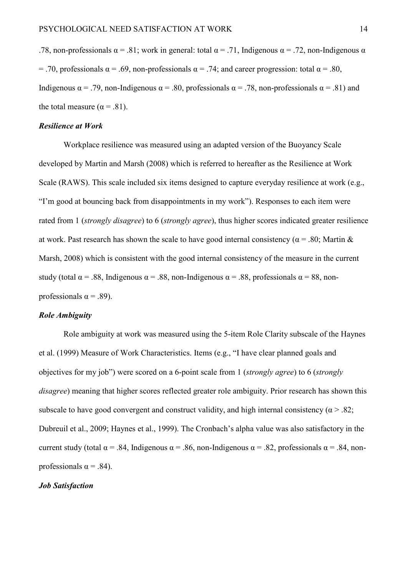.78, non-professionals  $\alpha = .81$ ; work in general; total  $\alpha = .71$ . Indigenous  $\alpha = .72$ , non-Indigenous  $\alpha$ = .70, professionals  $\alpha$  = .69, non-professionals  $\alpha$  = .74; and career progression: total  $\alpha$  = .80, Indigenous  $\alpha$  = .79, non-Indigenous  $\alpha$  = .80, professionals  $\alpha$  = .78, non-professionals  $\alpha$  = .81) and the total measure ( $\alpha$  = .81).

#### *Resilience at Work*

Workplace resilience was measured using an adapted version of the Buoyancy Scale developed by Martin and Marsh (2008) which is referred to hereafter as the Resilience at Work Scale (RAWS). This scale included six items designed to capture everyday resilience at work (e.g., "I'm good at bouncing back from disappointments in my work"). Responses to each item were rated from 1 (*strongly disagree*) to 6 (*strongly agree*), thus higher scores indicated greater resilience at work. Past research has shown the scale to have good internal consistency ( $\alpha$  = .80; Martin & Marsh, 2008) which is consistent with the good internal consistency of the measure in the current study (total  $\alpha = .88$ , Indigenous  $\alpha = .88$ , non-Indigenous  $\alpha = .88$ , professionals  $\alpha = 88$ , nonprofessionals  $\alpha = .89$ ).

# *Role Ambiguity*

Role ambiguity at work was measured using the 5-item Role Clarity subscale of the Haynes et al. (1999) Measure of Work Characteristics. Items (e.g., "I have clear planned goals and objectives for my job") were scored on a 6-point scale from 1 (*strongly agree*) to 6 (*strongly disagree*) meaning that higher scores reflected greater role ambiguity. Prior research has shown this subscale to have good convergent and construct validity, and high internal consistency ( $\alpha$  > .82; Dubreuil et al., 2009; Haynes et al., 1999). The Cronbach's alpha value was also satisfactory in the current study (total  $\alpha = .84$ , Indigenous  $\alpha = .86$ , non-Indigenous  $\alpha = .82$ , professionals  $\alpha = .84$ , nonprofessionals  $\alpha = .84$ ).

# *Job Satisfaction*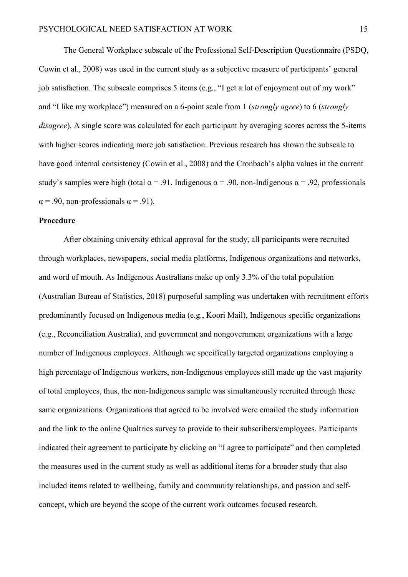The General Workplace subscale of the Professional Self-Description Questionnaire (PSDQ, Cowin et al., 2008) was used in the current study as a subjective measure of participants' general job satisfaction. The subscale comprises 5 items (e.g., "I get a lot of enjoyment out of my work" and "I like my workplace") measured on a 6-point scale from 1 (*strongly agree*) to 6 (*strongly disagree*). A single score was calculated for each participant by averaging scores across the 5-items with higher scores indicating more job satisfaction. Previous research has shown the subscale to have good internal consistency (Cowin et al., 2008) and the Cronbach's alpha values in the current study's samples were high (total  $\alpha = .91$ , Indigenous  $\alpha = .90$ , non-Indigenous  $\alpha = .92$ , professionals  $\alpha$  = .90, non-professionals  $\alpha$  = .91).

#### **Procedure**

After obtaining university ethical approval for the study, all participants were recruited through workplaces, newspapers, social media platforms, Indigenous organizations and networks, and word of mouth. As Indigenous Australians make up only 3.3% of the total population (Australian Bureau of Statistics, 2018) purposeful sampling was undertaken with recruitment efforts predominantly focused on Indigenous media (e.g., Koori Mail), Indigenous specific organizations (e.g., Reconciliation Australia), and government and nongovernment organizations with a large number of Indigenous employees. Although we specifically targeted organizations employing a high percentage of Indigenous workers, non-Indigenous employees still made up the vast majority of total employees, thus, the non-Indigenous sample was simultaneously recruited through these same organizations. Organizations that agreed to be involved were emailed the study information and the link to the online Qualtrics survey to provide to their subscribers/employees. Participants indicated their agreement to participate by clicking on "I agree to participate" and then completed the measures used in the current study as well as additional items for a broader study that also included items related to wellbeing, family and community relationships, and passion and selfconcept, which are beyond the scope of the current work outcomes focused research.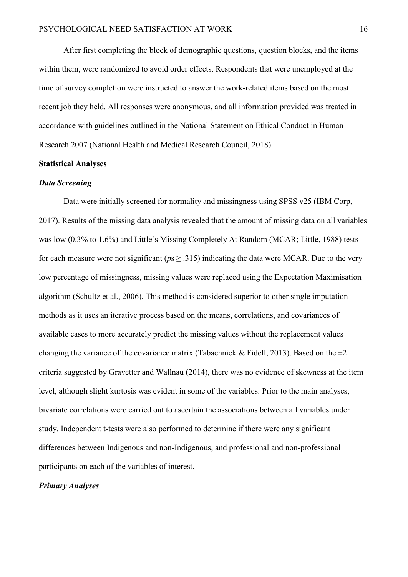After first completing the block of demographic questions, question blocks, and the items within them, were randomized to avoid order effects. Respondents that were unemployed at the time of survey completion were instructed to answer the work-related items based on the most recent job they held. All responses were anonymous, and all information provided was treated in accordance with guidelines outlined in the National Statement on Ethical Conduct in Human Research 2007 (National Health and Medical Research Council, 2018).

#### **Statistical Analyses**

#### *Data Screening*

Data were initially screened for normality and missingness using SPSS v25 (IBM Corp, 2017). Results of the missing data analysis revealed that the amount of missing data on all variables was low (0.3% to 1.6%) and Little's Missing Completely At Random (MCAR; Little, 1988) tests for each measure were not significant ( $p_s \geq .315$ ) indicating the data were MCAR. Due to the very low percentage of missingness, missing values were replaced using the Expectation Maximisation algorithm (Schultz et al., 2006). This method is considered superior to other single imputation methods as it uses an iterative process based on the means, correlations, and covariances of available cases to more accurately predict the missing values without the replacement values changing the variance of the covariance matrix (Tabachnick & Fidell, 2013). Based on the  $\pm 2$ criteria suggested by Gravetter and Wallnau (2014), there was no evidence of skewness at the item level, although slight kurtosis was evident in some of the variables. Prior to the main analyses, bivariate correlations were carried out to ascertain the associations between all variables under study. Independent t-tests were also performed to determine if there were any significant differences between Indigenous and non-Indigenous, and professional and non-professional participants on each of the variables of interest.

# *Primary Analyses*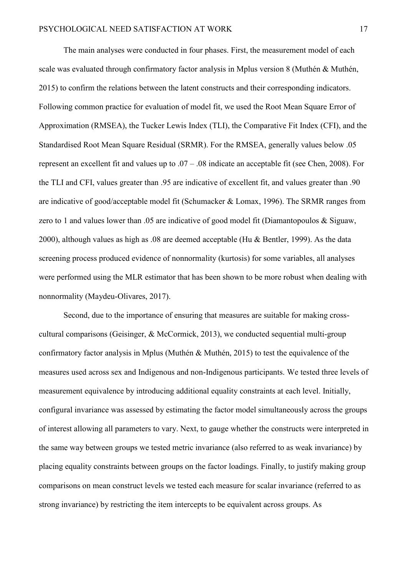The main analyses were conducted in four phases. First, the measurement model of each scale was evaluated through confirmatory factor analysis in Mplus version 8 (Muthén & Muthén, 2015) to confirm the relations between the latent constructs and their corresponding indicators. Following common practice for evaluation of model fit, we used the Root Mean Square Error of Approximation (RMSEA), the Tucker Lewis Index (TLI), the Comparative Fit Index (CFI), and the Standardised Root Mean Square Residual (SRMR). For the RMSEA, generally values below .05 represent an excellent fit and values up to .07 – .08 indicate an acceptable fit (see Chen, 2008). For the TLI and CFI, values greater than .95 are indicative of excellent fit, and values greater than .90 are indicative of good/acceptable model fit (Schumacker & Lomax, 1996). The SRMR ranges from zero to 1 and values lower than .05 are indicative of good model fit (Diamantopoulos & Siguaw, 2000), although values as high as .08 are deemed acceptable (Hu & Bentler, 1999). As the data screening process produced evidence of nonnormality (kurtosis) for some variables, all analyses were performed using the MLR estimator that has been shown to be more robust when dealing with nonnormality (Maydeu-Olivares, 2017).

Second, due to the importance of ensuring that measures are suitable for making crosscultural comparisons (Geisinger, & McCormick, 2013), we conducted sequential multi-group confirmatory factor analysis in Mplus (Muthén & Muthén, 2015) to test the equivalence of the measures used across sex and Indigenous and non-Indigenous participants. We tested three levels of measurement equivalence by introducing additional equality constraints at each level. Initially, configural invariance was assessed by estimating the factor model simultaneously across the groups of interest allowing all parameters to vary. Next, to gauge whether the constructs were interpreted in the same way between groups we tested metric invariance (also referred to as weak invariance) by placing equality constraints between groups on the factor loadings. Finally, to justify making group comparisons on mean construct levels we tested each measure for scalar invariance (referred to as strong invariance) by restricting the item intercepts to be equivalent across groups. As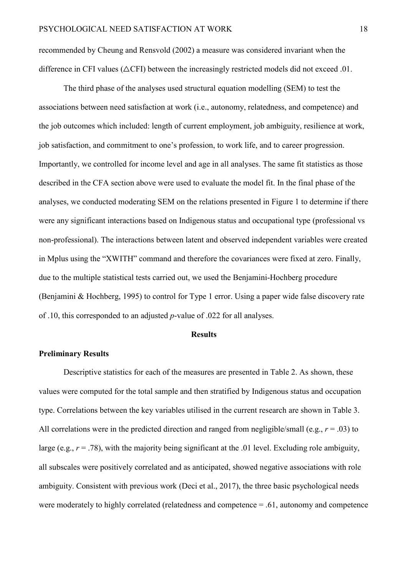recommended by Cheung and Rensvold (2002) a measure was considered invariant when the difference in CFI values ( $\triangle$ CFI) between the increasingly restricted models did not exceed .01.

The third phase of the analyses used structural equation modelling (SEM) to test the associations between need satisfaction at work (i.e., autonomy, relatedness, and competence) and the job outcomes which included: length of current employment, job ambiguity, resilience at work, job satisfaction, and commitment to one's profession, to work life, and to career progression. Importantly, we controlled for income level and age in all analyses. The same fit statistics as those described in the CFA section above were used to evaluate the model fit. In the final phase of the analyses, we conducted moderating SEM on the relations presented in Figure 1 to determine if there were any significant interactions based on Indigenous status and occupational type (professional vs non-professional). The interactions between latent and observed independent variables were created in Mplus using the "XWITH" command and therefore the covariances were fixed at zero. Finally, due to the multiple statistical tests carried out, we used the Benjamini-Hochberg procedure (Benjamini & Hochberg, 1995) to control for Type 1 error. Using a paper wide false discovery rate of .10, this corresponded to an adjusted *p*-value of .022 for all analyses.

#### **Results**

#### **Preliminary Results**

Descriptive statistics for each of the measures are presented in Table 2. As shown, these values were computed for the total sample and then stratified by Indigenous status and occupation type. Correlations between the key variables utilised in the current research are shown in Table 3. All correlations were in the predicted direction and ranged from negligible/small (e.g.,  $r = .03$ ) to large (e.g.,  $r = .78$ ), with the majority being significant at the .01 level. Excluding role ambiguity, all subscales were positively correlated and as anticipated, showed negative associations with role ambiguity. Consistent with previous work (Deci et al., 2017), the three basic psychological needs were moderately to highly correlated (relatedness and competence = .61, autonomy and competence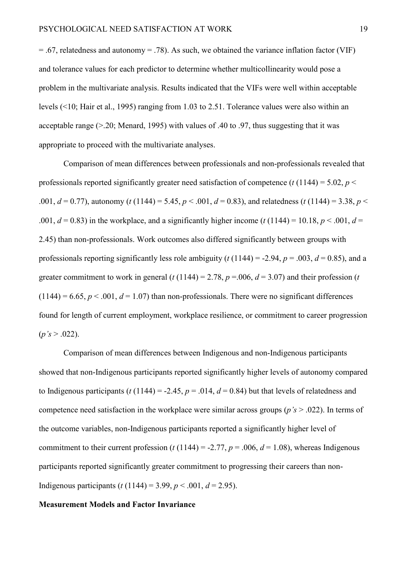$= .67$ , relatedness and autonomy  $= .78$ ). As such, we obtained the variance inflation factor (VIF) and tolerance values for each predictor to determine whether multicollinearity would pose a problem in the multivariate analysis. Results indicated that the VIFs were well within acceptable levels (<10; Hair et al., 1995) ranging from 1.03 to 2.51. Tolerance values were also within an acceptable range  $(> 0.20$ ; Menard, 1995) with values of .40 to .97, thus suggesting that it was appropriate to proceed with the multivariate analyses.

Comparison of mean differences between professionals and non-professionals revealed that professionals reported significantly greater need satisfaction of competence  $(t (1144) = 5.02, p <$ .001,  $d = 0.77$ ), autonomy (*t* (1144) = 5.45,  $p < .001$ ,  $d = 0.83$ ), and relatedness (*t* (1144) = 3.38,  $p < .001$ .001,  $d = 0.83$ ) in the workplace, and a significantly higher income ( $t$  (1144) = 10.18,  $p < .001$ ,  $d =$ 2.45) than non-professionals. Work outcomes also differed significantly between groups with professionals reporting significantly less role ambiguity ( $t$  (1144) = -2.94,  $p = .003$ ,  $d = 0.85$ ), and a greater commitment to work in general ( $t$  (1144) = 2.78,  $p = 0.06$ ,  $d = 3.07$ ) and their profession ( $t$  $(1144) = 6.65, p < .001, d = 1.07$ ) than non-professionals. There were no significant differences found for length of current employment, workplace resilience, or commitment to career progression  $(p's > .022)$ .

Comparison of mean differences between Indigenous and non-Indigenous participants showed that non-Indigenous participants reported significantly higher levels of autonomy compared to Indigenous participants ( $t$  (1144) = -2.45,  $p = .014$ ,  $d = 0.84$ ) but that levels of relatedness and competence need satisfaction in the workplace were similar across groups ( $p's > .022$ ). In terms of the outcome variables, non-Indigenous participants reported a significantly higher level of commitment to their current profession ( $t$  (1144) = -2.77,  $p$  = .006,  $d$  = 1.08), whereas Indigenous participants reported significantly greater commitment to progressing their careers than non-Indigenous participants (*t* (1144) = 3.99, *p* < .001, *d* = 2.95).

# **Measurement Models and Factor Invariance**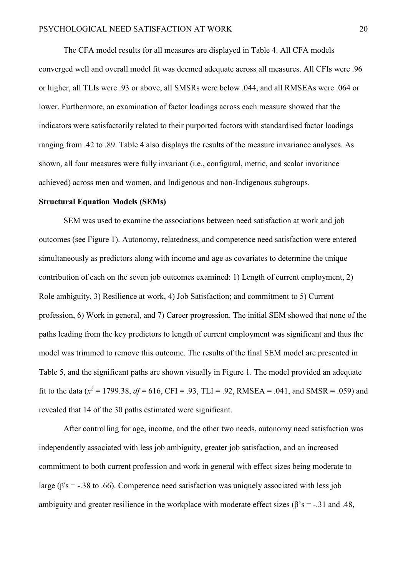The CFA model results for all measures are displayed in Table 4. All CFA models converged well and overall model fit was deemed adequate across all measures. All CFIs were .96 or higher, all TLIs were .93 or above, all SMSRs were below .044, and all RMSEAs were .064 or lower. Furthermore, an examination of factor loadings across each measure showed that the indicators were satisfactorily related to their purported factors with standardised factor loadings ranging from .42 to .89. Table 4 also displays the results of the measure invariance analyses. As shown, all four measures were fully invariant (i.e., configural, metric, and scalar invariance achieved) across men and women, and Indigenous and non-Indigenous subgroups.

#### **Structural Equation Models (SEMs)**

SEM was used to examine the associations between need satisfaction at work and job outcomes (see Figure 1). Autonomy, relatedness, and competence need satisfaction were entered simultaneously as predictors along with income and age as covariates to determine the unique contribution of each on the seven job outcomes examined: 1) Length of current employment, 2) Role ambiguity, 3) Resilience at work, 4) Job Satisfaction; and commitment to 5) Current profession, 6) Work in general, and 7) Career progression. The initial SEM showed that none of the paths leading from the key predictors to length of current employment was significant and thus the model was trimmed to remove this outcome. The results of the final SEM model are presented in Table 5, and the significant paths are shown visually in Figure 1. The model provided an adequate fit to the data ( $x^2 = 1799.38$ ,  $df = 616$ , CFI = .93, TLI = .92, RMSEA = .041, and SMSR = .059) and revealed that 14 of the 30 paths estimated were significant.

After controlling for age, income, and the other two needs, autonomy need satisfaction was independently associated with less job ambiguity, greater job satisfaction, and an increased commitment to both current profession and work in general with effect sizes being moderate to large ( $\beta$ 's = -.38 to .66). Competence need satisfaction was uniquely associated with less job ambiguity and greater resilience in the workplace with moderate effect sizes ( $\beta$ 's = -.31 and .48,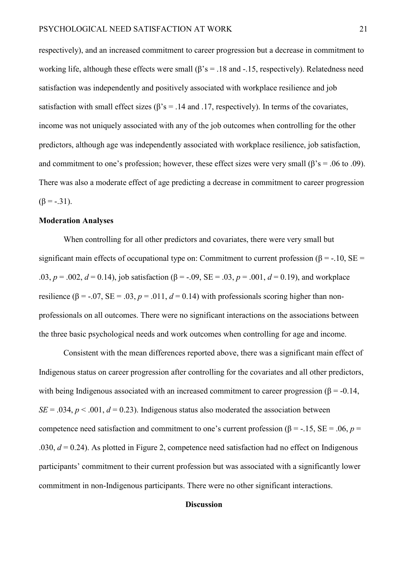respectively), and an increased commitment to career progression but a decrease in commitment to working life, although these effects were small ( $\beta$ 's = .18 and -.15, respectively). Relatedness need satisfaction was independently and positively associated with workplace resilience and job satisfaction with small effect sizes ( $\beta$ 's = .14 and .17, respectively). In terms of the covariates, income was not uniquely associated with any of the job outcomes when controlling for the other predictors, although age was independently associated with workplace resilience, job satisfaction, and commitment to one's profession; however, these effect sizes were very small ( $\beta$ 's = .06 to .09). There was also a moderate effect of age predicting a decrease in commitment to career progression  $(\beta = -.31)$ .

### **Moderation Analyses**

When controlling for all other predictors and covariates, there were very small but significant main effects of occupational type on: Commitment to current profession ( $\beta$  = -.10, SE = .03,  $p = .002$ ,  $d = 0.14$ ), job satisfaction ( $\beta = -.09$ ,  $SE = .03$ ,  $p = .001$ ,  $d = 0.19$ ), and workplace resilience ( $\beta$  = -.07, SE = .03, *p* = .011, *d* = 0.14) with professionals scoring higher than nonprofessionals on all outcomes. There were no significant interactions on the associations between the three basic psychological needs and work outcomes when controlling for age and income.

Consistent with the mean differences reported above, there was a significant main effect of Indigenous status on career progression after controlling for the covariates and all other predictors, with being Indigenous associated with an increased commitment to career progression ( $\beta$  = -0.14,  $SE = .034$ ,  $p < .001$ ,  $d = 0.23$ ). Indigenous status also moderated the association between competence need satisfaction and commitment to one's current profession ( $\beta$  = -.15, SE = .06, *p* = .030,  $d = 0.24$ ). As plotted in Figure 2, competence need satisfaction had no effect on Indigenous participants' commitment to their current profession but was associated with a significantly lower commitment in non-Indigenous participants. There were no other significant interactions.

#### **Discussion**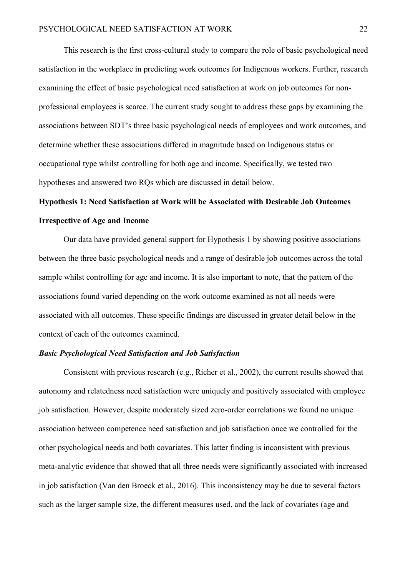This research is the first cross-cultural study to compare the role of basic psychological need satisfaction in the workplace in predicting work outcomes for Indigenous workers. Further, research examining the effect of basic psychological need satisfaction at work on job outcomes for nonprofessional employees is scarce. The current study sought to address these gaps by examining the associations between SDT's three basic psychological needs of employees and work outcomes, and determine whether these associations differed in magnitude based on Indigenous status or occupational type whilst controlling for both age and income. Specifically, we tested two hypotheses and answered two RQs which are discussed in detail below.

# **Hypothesis 1: Need Satisfaction at Work will be Associated with Desirable Job Outcomes Irrespective of Age and Income**

Our data have provided general support for Hypothesis 1 by showing positive associations between the three basic psychological needs and a range of desirable job outcomes across the total sample whilst controlling for age and income. It is also important to note, that the pattern of the associations found varied depending on the work outcome examined as not all needs were associated with all outcomes. These specific findings are discussed in greater detail below in the context of each of the outcomes examined.

# *Basic Psychological Need Satisfaction and Job Satisfaction*

Consistent with previous research (e.g., Richer et al., 2002), the current results showed that autonomy and relatedness need satisfaction were uniquely and positively associated with employee job satisfaction. However, despite moderately sized zero-order correlations we found no unique association between competence need satisfaction and job satisfaction once we controlled for the other psychological needs and both covariates. This latter finding is inconsistent with previous meta-analytic evidence that showed that all three needs were significantly associated with increased in job satisfaction (Van den Broeck et al., 2016). This inconsistency may be due to several factors such as the larger sample size, the different measures used, and the lack of covariates (age and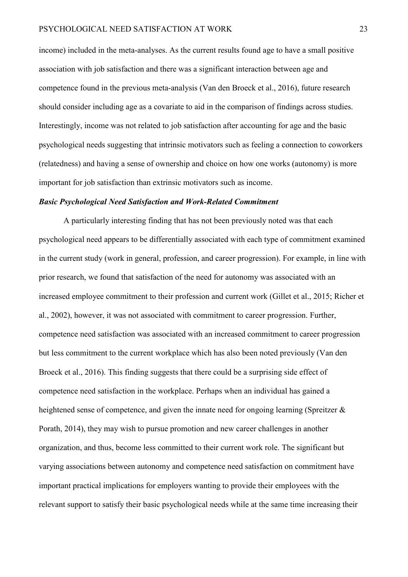income) included in the meta-analyses. As the current results found age to have a small positive association with job satisfaction and there was a significant interaction between age and competence found in the previous meta-analysis (Van den Broeck et al., 2016), future research should consider including age as a covariate to aid in the comparison of findings across studies. Interestingly, income was not related to job satisfaction after accounting for age and the basic psychological needs suggesting that intrinsic motivators such as feeling a connection to coworkers (relatedness) and having a sense of ownership and choice on how one works (autonomy) is more important for job satisfaction than extrinsic motivators such as income.

#### *Basic Psychological Need Satisfaction and Work-Related Commitment*

A particularly interesting finding that has not been previously noted was that each psychological need appears to be differentially associated with each type of commitment examined in the current study (work in general, profession, and career progression). For example, in line with prior research, we found that satisfaction of the need for autonomy was associated with an increased employee commitment to their profession and current work (Gillet et al., 2015; Richer et al., 2002), however, it was not associated with commitment to career progression. Further, competence need satisfaction was associated with an increased commitment to career progression but less commitment to the current workplace which has also been noted previously (Van den Broeck et al., 2016). This finding suggests that there could be a surprising side effect of competence need satisfaction in the workplace. Perhaps when an individual has gained a heightened sense of competence, and given the innate need for ongoing learning (Spreitzer & Porath, 2014), they may wish to pursue promotion and new career challenges in another organization, and thus, become less committed to their current work role. The significant but varying associations between autonomy and competence need satisfaction on commitment have important practical implications for employers wanting to provide their employees with the relevant support to satisfy their basic psychological needs while at the same time increasing their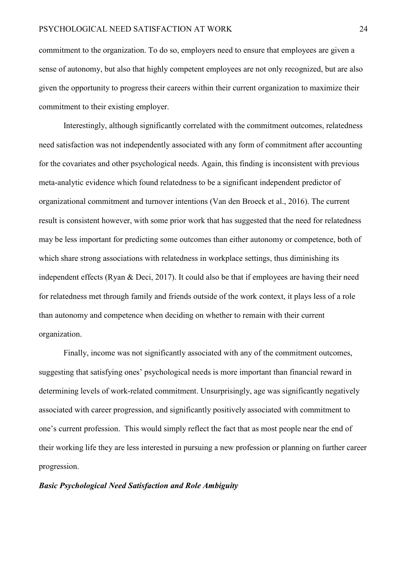commitment to the organization. To do so, employers need to ensure that employees are given a sense of autonomy, but also that highly competent employees are not only recognized, but are also given the opportunity to progress their careers within their current organization to maximize their commitment to their existing employer.

Interestingly, although significantly correlated with the commitment outcomes, relatedness need satisfaction was not independently associated with any form of commitment after accounting for the covariates and other psychological needs. Again, this finding is inconsistent with previous meta-analytic evidence which found relatedness to be a significant independent predictor of organizational commitment and turnover intentions (Van den Broeck et al., 2016). The current result is consistent however, with some prior work that has suggested that the need for relatedness may be less important for predicting some outcomes than either autonomy or competence, both of which share strong associations with relatedness in workplace settings, thus diminishing its independent effects (Ryan & Deci, 2017). It could also be that if employees are having their need for relatedness met through family and friends outside of the work context, it plays less of a role than autonomy and competence when deciding on whether to remain with their current organization.

Finally, income was not significantly associated with any of the commitment outcomes, suggesting that satisfying ones' psychological needs is more important than financial reward in determining levels of work-related commitment. Unsurprisingly, age was significantly negatively associated with career progression, and significantly positively associated with commitment to one's current profession. This would simply reflect the fact that as most people near the end of their working life they are less interested in pursuing a new profession or planning on further career progression.

# *Basic Psychological Need Satisfaction and Role Ambiguity*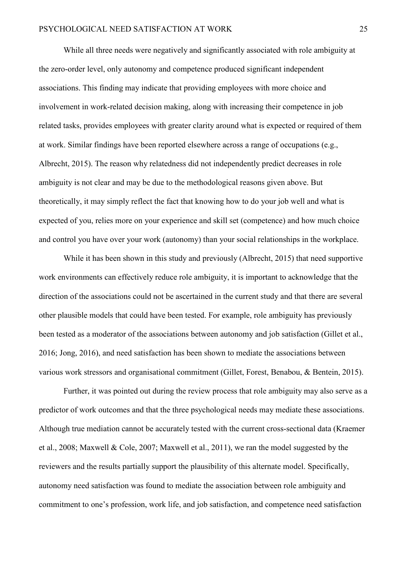While all three needs were negatively and significantly associated with role ambiguity at the zero-order level, only autonomy and competence produced significant independent associations. This finding may indicate that providing employees with more choice and involvement in work-related decision making, along with increasing their competence in job related tasks, provides employees with greater clarity around what is expected or required of them at work. Similar findings have been reported elsewhere across a range of occupations (e.g., Albrecht, 2015). The reason why relatedness did not independently predict decreases in role ambiguity is not clear and may be due to the methodological reasons given above. But theoretically, it may simply reflect the fact that knowing how to do your job well and what is expected of you, relies more on your experience and skill set (competence) and how much choice and control you have over your work (autonomy) than your social relationships in the workplace.

While it has been shown in this study and previously (Albrecht, 2015) that need supportive work environments can effectively reduce role ambiguity, it is important to acknowledge that the direction of the associations could not be ascertained in the current study and that there are several other plausible models that could have been tested. For example, role ambiguity has previously been tested as a moderator of the associations between autonomy and job satisfaction (Gillet et al., 2016; Jong, 2016), and need satisfaction has been shown to mediate the associations between various work stressors and organisational commitment (Gillet, Forest, Benabou, & Bentein, 2015).

Further, it was pointed out during the review process that role ambiguity may also serve as a predictor of work outcomes and that the three psychological needs may mediate these associations. Although true mediation cannot be accurately tested with the current cross-sectional data (Kraemer et al., 2008; Maxwell & Cole, 2007; Maxwell et al., 2011), we ran the model suggested by the reviewers and the results partially support the plausibility of this alternate model. Specifically, autonomy need satisfaction was found to mediate the association between role ambiguity and commitment to one's profession, work life, and job satisfaction, and competence need satisfaction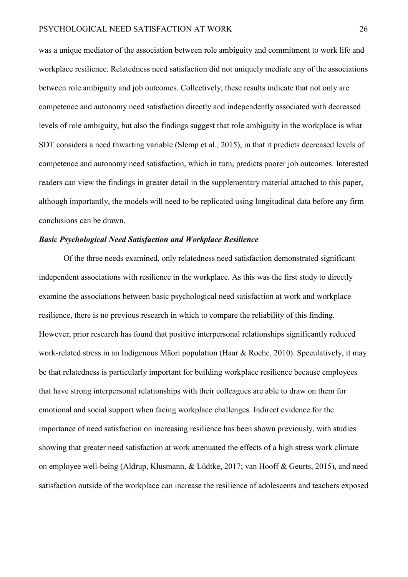was a unique mediator of the association between role ambiguity and commitment to work life and workplace resilience. Relatedness need satisfaction did not uniquely mediate any of the associations between role ambiguity and job outcomes. Collectively, these results indicate that not only are competence and autonomy need satisfaction directly and independently associated with decreased levels of role ambiguity, but also the findings suggest that role ambiguity in the workplace is what SDT considers a need thwarting variable (Slemp et al., 2015), in that it predicts decreased levels of competence and autonomy need satisfaction, which in turn, predicts poorer job outcomes. Interested readers can view the findings in greater detail in the supplementary material attached to this paper, although importantly, the models will need to be replicated using longitudinal data before any firm conclusions can be drawn.

#### *Basic Psychological Need Satisfaction and Workplace Resilience*

Of the three needs examined, only relatedness need satisfaction demonstrated significant independent associations with resilience in the workplace. As this was the first study to directly examine the associations between basic psychological need satisfaction at work and workplace resilience, there is no previous research in which to compare the reliability of this finding. However, prior research has found that positive interpersonal relationships significantly reduced work-related stress in an Indigenous Māori population (Haar & Roche, 2010). Speculatively, it may be that relatedness is particularly important for building workplace resilience because employees that have strong interpersonal relationships with their colleagues are able to draw on them for emotional and social support when facing workplace challenges. Indirect evidence for the importance of need satisfaction on increasing resilience has been shown previously, with studies showing that greater need satisfaction at work attenuated the effects of a high stress work climate on employee well-being (Aldrup, Klusmann, & Lüdtke, 2017; van Hooff & Geurts, 2015), and need satisfaction outside of the workplace can increase the resilience of adolescents and teachers exposed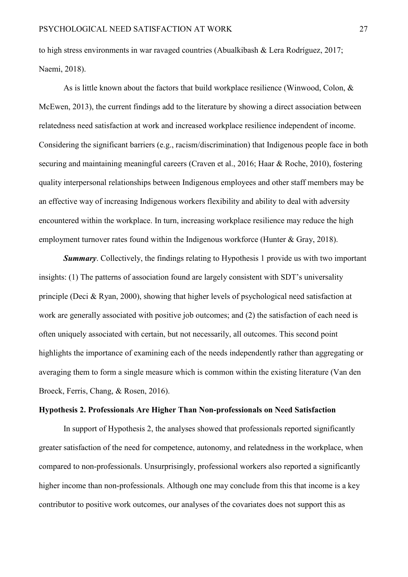to high stress environments in war ravaged countries (Abualkibash & Lera Rodríguez, 2017; Naemi, 2018).

As is little known about the factors that build workplace resilience (Winwood, Colon, & McEwen, 2013), the current findings add to the literature by showing a direct association between relatedness need satisfaction at work and increased workplace resilience independent of income. Considering the significant barriers (e.g., racism/discrimination) that Indigenous people face in both securing and maintaining meaningful careers (Craven et al., 2016; Haar & Roche, 2010), fostering quality interpersonal relationships between Indigenous employees and other staff members may be an effective way of increasing Indigenous workers flexibility and ability to deal with adversity encountered within the workplace. In turn, increasing workplace resilience may reduce the high employment turnover rates found within the Indigenous workforce (Hunter & Gray, 2018).

*Summary*. Collectively, the findings relating to Hypothesis 1 provide us with two important insights: (1) The patterns of association found are largely consistent with SDT's universality principle (Deci & Ryan, 2000), showing that higher levels of psychological need satisfaction at work are generally associated with positive job outcomes; and (2) the satisfaction of each need is often uniquely associated with certain, but not necessarily, all outcomes. This second point highlights the importance of examining each of the needs independently rather than aggregating or averaging them to form a single measure which is common within the existing literature (Van den Broeck, Ferris, Chang, & Rosen, 2016).

#### **Hypothesis 2. Professionals Are Higher Than Non-professionals on Need Satisfaction**

In support of Hypothesis 2, the analyses showed that professionals reported significantly greater satisfaction of the need for competence, autonomy, and relatedness in the workplace, when compared to non-professionals. Unsurprisingly, professional workers also reported a significantly higher income than non-professionals. Although one may conclude from this that income is a key contributor to positive work outcomes, our analyses of the covariates does not support this as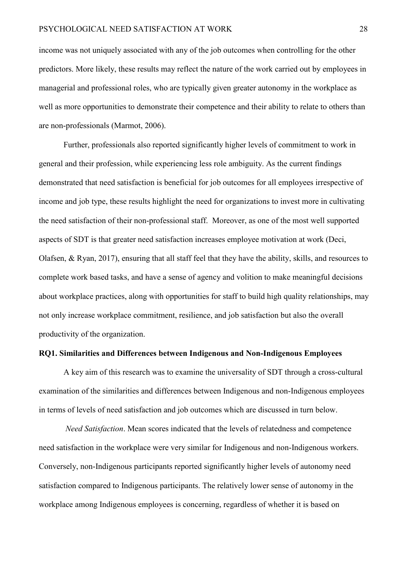income was not uniquely associated with any of the job outcomes when controlling for the other predictors. More likely, these results may reflect the nature of the work carried out by employees in managerial and professional roles, who are typically given greater autonomy in the workplace as well as more opportunities to demonstrate their competence and their ability to relate to others than are non-professionals (Marmot, 2006).

Further, professionals also reported significantly higher levels of commitment to work in general and their profession, while experiencing less role ambiguity. As the current findings demonstrated that need satisfaction is beneficial for job outcomes for all employees irrespective of income and job type, these results highlight the need for organizations to invest more in cultivating the need satisfaction of their non-professional staff. Moreover, as one of the most well supported aspects of SDT is that greater need satisfaction increases employee motivation at work (Deci, Olafsen, & Ryan, 2017), ensuring that all staff feel that they have the ability, skills, and resources to complete work based tasks, and have a sense of agency and volition to make meaningful decisions about workplace practices, along with opportunities for staff to build high quality relationships, may not only increase workplace commitment, resilience, and job satisfaction but also the overall productivity of the organization.

# **RQ1. Similarities and Differences between Indigenous and Non-Indigenous Employees**

A key aim of this research was to examine the universality of SDT through a cross-cultural examination of the similarities and differences between Indigenous and non-Indigenous employees in terms of levels of need satisfaction and job outcomes which are discussed in turn below.

*Need Satisfaction*. Mean scores indicated that the levels of relatedness and competence need satisfaction in the workplace were very similar for Indigenous and non-Indigenous workers. Conversely, non-Indigenous participants reported significantly higher levels of autonomy need satisfaction compared to Indigenous participants. The relatively lower sense of autonomy in the workplace among Indigenous employees is concerning, regardless of whether it is based on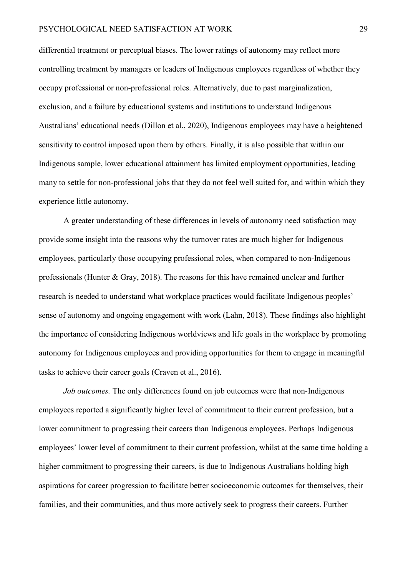differential treatment or perceptual biases. The lower ratings of autonomy may reflect more controlling treatment by managers or leaders of Indigenous employees regardless of whether they occupy professional or non-professional roles. Alternatively, due to past marginalization, exclusion, and a failure by educational systems and institutions to understand Indigenous Australians' educational needs (Dillon et al., 2020), Indigenous employees may have a heightened sensitivity to control imposed upon them by others. Finally, it is also possible that within our Indigenous sample, lower educational attainment has limited employment opportunities, leading many to settle for non-professional jobs that they do not feel well suited for, and within which they experience little autonomy.

A greater understanding of these differences in levels of autonomy need satisfaction may provide some insight into the reasons why the turnover rates are much higher for Indigenous employees, particularly those occupying professional roles, when compared to non-Indigenous professionals (Hunter & Gray, 2018). The reasons for this have remained unclear and further research is needed to understand what workplace practices would facilitate Indigenous peoples' sense of autonomy and ongoing engagement with work (Lahn, 2018). These findings also highlight the importance of considering Indigenous worldviews and life goals in the workplace by promoting autonomy for Indigenous employees and providing opportunities for them to engage in meaningful tasks to achieve their career goals (Craven et al., 2016).

*Job outcomes.* The only differences found on job outcomes were that non-Indigenous employees reported a significantly higher level of commitment to their current profession, but a lower commitment to progressing their careers than Indigenous employees. Perhaps Indigenous employees' lower level of commitment to their current profession, whilst at the same time holding a higher commitment to progressing their careers, is due to Indigenous Australians holding high aspirations for career progression to facilitate better socioeconomic outcomes for themselves, their families, and their communities, and thus more actively seek to progress their careers. Further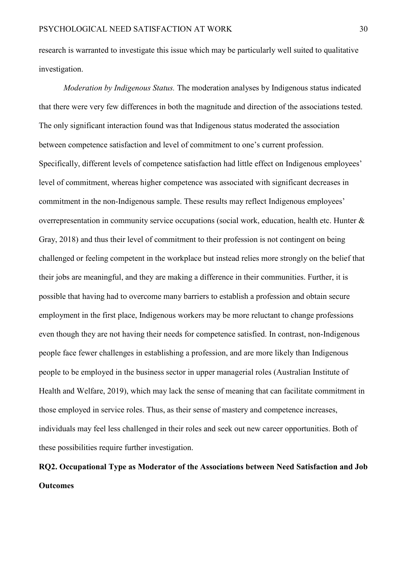research is warranted to investigate this issue which may be particularly well suited to qualitative investigation.

*Moderation by Indigenous Status.* The moderation analyses by Indigenous status indicated that there were very few differences in both the magnitude and direction of the associations tested. The only significant interaction found was that Indigenous status moderated the association between competence satisfaction and level of commitment to one's current profession. Specifically, different levels of competence satisfaction had little effect on Indigenous employees' level of commitment, whereas higher competence was associated with significant decreases in commitment in the non-Indigenous sample. These results may reflect Indigenous employees' overrepresentation in community service occupations (social work, education, health etc. Hunter & Gray, 2018) and thus their level of commitment to their profession is not contingent on being challenged or feeling competent in the workplace but instead relies more strongly on the belief that their jobs are meaningful, and they are making a difference in their communities. Further, it is possible that having had to overcome many barriers to establish a profession and obtain secure employment in the first place, Indigenous workers may be more reluctant to change professions even though they are not having their needs for competence satisfied. In contrast, non-Indigenous people face fewer challenges in establishing a profession, and are more likely than Indigenous people to be employed in the business sector in upper managerial roles (Australian Institute of Health and Welfare, 2019), which may lack the sense of meaning that can facilitate commitment in those employed in service roles. Thus, as their sense of mastery and competence increases, individuals may feel less challenged in their roles and seek out new career opportunities. Both of these possibilities require further investigation.

# **RQ2. Occupational Type as Moderator of the Associations between Need Satisfaction and Job Outcomes**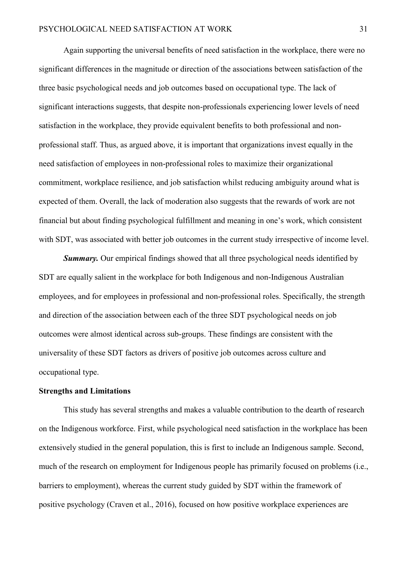Again supporting the universal benefits of need satisfaction in the workplace, there were no significant differences in the magnitude or direction of the associations between satisfaction of the three basic psychological needs and job outcomes based on occupational type. The lack of significant interactions suggests, that despite non-professionals experiencing lower levels of need satisfaction in the workplace, they provide equivalent benefits to both professional and nonprofessional staff. Thus, as argued above, it is important that organizations invest equally in the need satisfaction of employees in non-professional roles to maximize their organizational commitment, workplace resilience, and job satisfaction whilst reducing ambiguity around what is expected of them. Overall, the lack of moderation also suggests that the rewards of work are not financial but about finding psychological fulfillment and meaning in one's work, which consistent with SDT, was associated with better job outcomes in the current study irrespective of income level.

*Summary.* Our empirical findings showed that all three psychological needs identified by SDT are equally salient in the workplace for both Indigenous and non-Indigenous Australian employees, and for employees in professional and non-professional roles. Specifically, the strength and direction of the association between each of the three SDT psychological needs on job outcomes were almost identical across sub-groups. These findings are consistent with the universality of these SDT factors as drivers of positive job outcomes across culture and occupational type.

# **Strengths and Limitations**

This study has several strengths and makes a valuable contribution to the dearth of research on the Indigenous workforce. First, while psychological need satisfaction in the workplace has been extensively studied in the general population, this is first to include an Indigenous sample. Second, much of the research on employment for Indigenous people has primarily focused on problems (i.e., barriers to employment), whereas the current study guided by SDT within the framework of positive psychology (Craven et al., 2016), focused on how positive workplace experiences are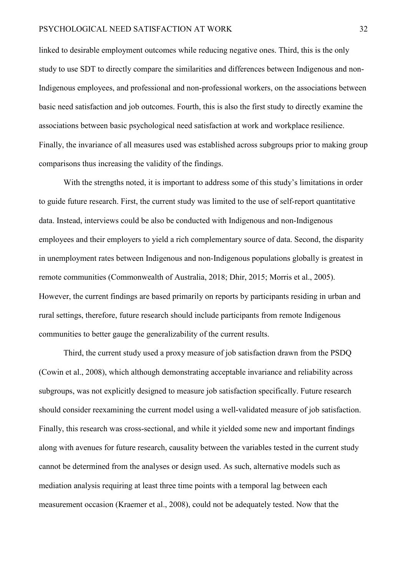linked to desirable employment outcomes while reducing negative ones. Third, this is the only study to use SDT to directly compare the similarities and differences between Indigenous and non-Indigenous employees, and professional and non-professional workers, on the associations between basic need satisfaction and job outcomes. Fourth, this is also the first study to directly examine the associations between basic psychological need satisfaction at work and workplace resilience. Finally, the invariance of all measures used was established across subgroups prior to making group comparisons thus increasing the validity of the findings.

With the strengths noted, it is important to address some of this study's limitations in order to guide future research. First, the current study was limited to the use of self-report quantitative data. Instead, interviews could be also be conducted with Indigenous and non-Indigenous employees and their employers to yield a rich complementary source of data. Second, the disparity in unemployment rates between Indigenous and non-Indigenous populations globally is greatest in remote communities (Commonwealth of Australia, 2018; Dhir, 2015; Morris et al., 2005). However, the current findings are based primarily on reports by participants residing in urban and rural settings, therefore, future research should include participants from remote Indigenous communities to better gauge the generalizability of the current results.

Third, the current study used a proxy measure of job satisfaction drawn from the PSDQ (Cowin et al., 2008), which although demonstrating acceptable invariance and reliability across subgroups, was not explicitly designed to measure job satisfaction specifically. Future research should consider reexamining the current model using a well-validated measure of job satisfaction. Finally, this research was cross-sectional, and while it yielded some new and important findings along with avenues for future research, causality between the variables tested in the current study cannot be determined from the analyses or design used. As such, alternative models such as mediation analysis requiring at least three time points with a temporal lag between each measurement occasion (Kraemer et al., 2008), could not be adequately tested. Now that the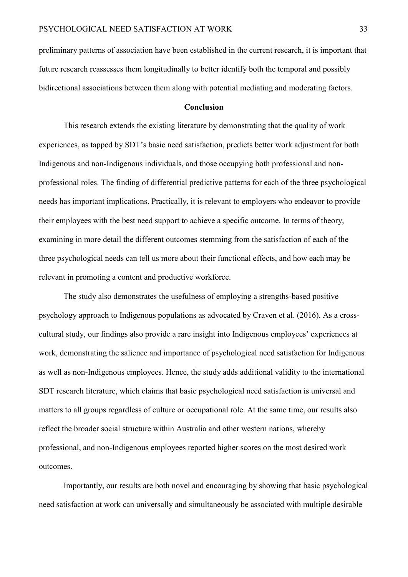preliminary patterns of association have been established in the current research, it is important that future research reassesses them longitudinally to better identify both the temporal and possibly bidirectional associations between them along with potential mediating and moderating factors.

#### **Conclusion**

This research extends the existing literature by demonstrating that the quality of work experiences, as tapped by SDT's basic need satisfaction, predicts better work adjustment for both Indigenous and non-Indigenous individuals, and those occupying both professional and nonprofessional roles. The finding of differential predictive patterns for each of the three psychological needs has important implications. Practically, it is relevant to employers who endeavor to provide their employees with the best need support to achieve a specific outcome. In terms of theory, examining in more detail the different outcomes stemming from the satisfaction of each of the three psychological needs can tell us more about their functional effects, and how each may be relevant in promoting a content and productive workforce.

The study also demonstrates the usefulness of employing a strengths-based positive psychology approach to Indigenous populations as advocated by Craven et al. (2016). As a crosscultural study, our findings also provide a rare insight into Indigenous employees' experiences at work, demonstrating the salience and importance of psychological need satisfaction for Indigenous as well as non-Indigenous employees. Hence, the study adds additional validity to the international SDT research literature, which claims that basic psychological need satisfaction is universal and matters to all groups regardless of culture or occupational role. At the same time, our results also reflect the broader social structure within Australia and other western nations, whereby professional, and non-Indigenous employees reported higher scores on the most desired work outcomes.

Importantly, our results are both novel and encouraging by showing that basic psychological need satisfaction at work can universally and simultaneously be associated with multiple desirable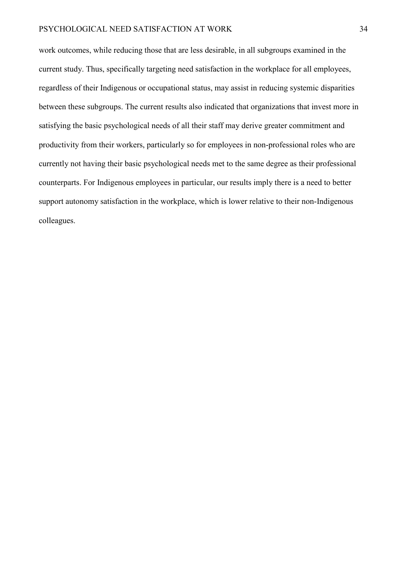work outcomes, while reducing those that are less desirable, in all subgroups examined in the current study. Thus, specifically targeting need satisfaction in the workplace for all employees, regardless of their Indigenous or occupational status, may assist in reducing systemic disparities between these subgroups. The current results also indicated that organizations that invest more in satisfying the basic psychological needs of all their staff may derive greater commitment and productivity from their workers, particularly so for employees in non-professional roles who are currently not having their basic psychological needs met to the same degree as their professional counterparts. For Indigenous employees in particular, our results imply there is a need to better support autonomy satisfaction in the workplace, which is lower relative to their non-Indigenous colleagues.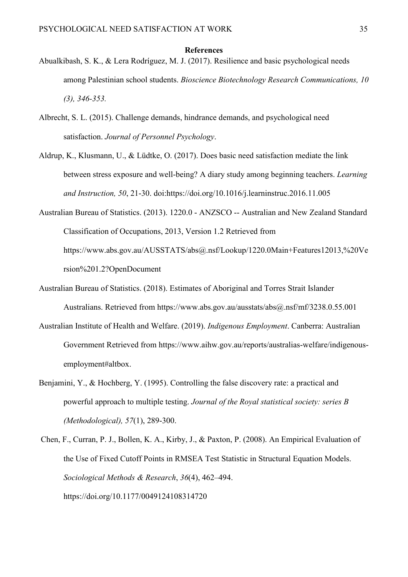#### **References**

- Abualkibash, S. K., & Lera Rodríguez, M. J. (2017). Resilience and basic psychological needs among Palestinian school students. *Bioscience Biotechnology Research Communications, 10 (3), 346-353.*
- Albrecht, S. L. (2015). Challenge demands, hindrance demands, and psychological need satisfaction. *Journal of Personnel Psychology*.
- Aldrup, K., Klusmann, U., & Lüdtke, O. (2017). Does basic need satisfaction mediate the link between stress exposure and well-being? A diary study among beginning teachers. *Learning and Instruction, 50*, 21-30. doi:https://doi.org/10.1016/j.learninstruc.2016.11.005
- Australian Bureau of Statistics. (2013). 1220.0 ANZSCO -- Australian and New Zealand Standard Classification of Occupations, 2013, Version 1.2 Retrieved from https://www.abs.gov.au/AUSSTATS/abs@.nsf/Lookup/1220.0Main+Features12013,%20Ve rsion%201.2?OpenDocument
- Australian Bureau of Statistics. (2018). Estimates of Aboriginal and Torres Strait Islander Australians. Retrieved from https://www.abs.gov.au/ausstats/abs@.nsf/mf/3238.0.55.001
- Australian Institute of Health and Welfare. (2019). *Indigenous Employment*. Canberra: Australian Government Retrieved from https://www.aihw.gov.au/reports/australias-welfare/indigenousemployment#altbox.
- Benjamini, Y., & Hochberg, Y. (1995). Controlling the false discovery rate: a practical and powerful approach to multiple testing. *Journal of the Royal statistical society: series B (Methodological), 57*(1), 289-300.
- Chen, F., Curran, P. J., Bollen, K. A., Kirby, J., & Paxton, P. (2008). An Empirical Evaluation of the Use of Fixed Cutoff Points in RMSEA Test Statistic in Structural Equation Models. *Sociological Methods & Research*, *36*(4), 462–494. https://doi.org/10.1177/0049124108314720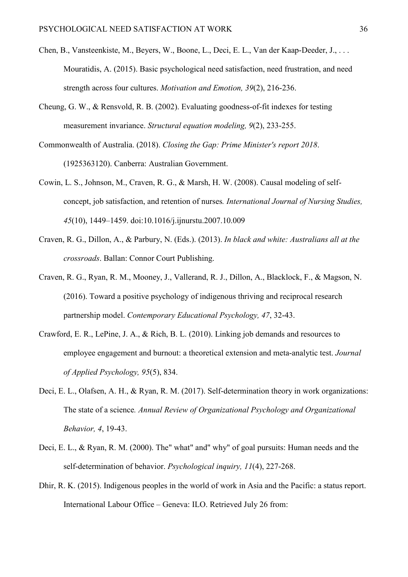- Chen, B., Vansteenkiste, M., Beyers, W., Boone, L., Deci, E. L., Van der Kaap-Deeder, J., . . . Mouratidis, A. (2015). Basic psychological need satisfaction, need frustration, and need strength across four cultures. *Motivation and Emotion, 39*(2), 216-236.
- Cheung, G. W., & Rensvold, R. B. (2002). Evaluating goodness-of-fit indexes for testing measurement invariance. *Structural equation modeling, 9*(2), 233-255.
- Commonwealth of Australia. (2018). *Closing the Gap: Prime Minister's report 2018*. (1925363120). Canberra: Australian Government.
- Cowin, L. S., Johnson, M., Craven, R. G., & Marsh, H. W. (2008). Causal modeling of selfconcept, job satisfaction, and retention of nurses*. International Journal of Nursing Studies, 45*(10), 1449–1459. doi:10.1016/j.ijnurstu.2007.10.009
- Craven, R. G., Dillon, A., & Parbury, N. (Eds.). (2013). *In black and white: Australians all at the crossroads*. Ballan: Connor Court Publishing.
- Craven, R. G., Ryan, R. M., Mooney, J., Vallerand, R. J., Dillon, A., Blacklock, F., & Magson, N. (2016). Toward a positive psychology of indigenous thriving and reciprocal research partnership model. *Contemporary Educational Psychology, 47*, 32-43.
- Crawford, E. R., LePine, J. A., & Rich, B. L. (2010). Linking job demands and resources to employee engagement and burnout: a theoretical extension and meta-analytic test. *Journal of Applied Psychology, 95*(5), 834.
- Deci, E. L., Olafsen, A. H., & Ryan, R. M. (2017). Self-determination theory in work organizations: The state of a science*. Annual Review of Organizational Psychology and Organizational Behavior, 4*, 19-43.
- Deci, E. L., & Ryan, R. M. (2000). The" what" and" why" of goal pursuits: Human needs and the self-determination of behavior. *Psychological inquiry, 11*(4), 227-268.
- Dhir, R. K. (2015). Indigenous peoples in the world of work in Asia and the Pacific: a status report. International Labour Office – Geneva: ILO. Retrieved July 26 from[:](about:blank)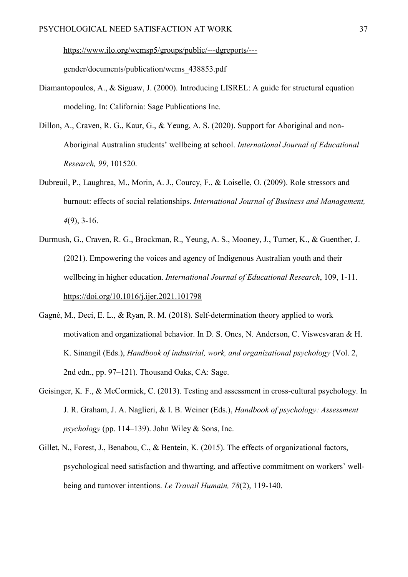[https://www.ilo.org/wcmsp5/groups/public/---dgreports/--](about:blank) [gender/documents/publication/wcms\\_438853.pdf](about:blank)

- Diamantopoulos, A., & Siguaw, J. (2000). Introducing LISREL: A guide for structural equation modeling. In: California: Sage Publications Inc.
- Dillon, A., Craven, R. G., Kaur, G., & Yeung, A. S. (2020). Support for Aboriginal and non-Aboriginal Australian students' wellbeing at school. *International Journal of Educational Research, 99*, 101520.
- Dubreuil, P., Laughrea, M., Morin, A. J., Courcy, F., & Loiselle, O. (2009). Role stressors and burnout: effects of social relationships. *International Journal of Business and Management, 4*(9), 3-16.
- Durmush, G., Craven, R. G., Brockman, R., Yeung, A. S., Mooney, J., Turner, K., & Guenther, J. (2021). Empowering the voices and agency of Indigenous Australian youth and their wellbeing in higher education. *International Journal of Educational Research*, 109, 1-11. [https://doi.org/10.1016/j.ijer.2021.101798](about:blank)
- Gagné, M., Deci, E. L., & Ryan, R. M. (2018). Self-determination theory applied to work motivation and organizational behavior. In D. S. Ones, N. Anderson, C. Viswesvaran & H. K. Sinangil (Eds.), *Handbook of industrial, work, and organizational psychology* (Vol. 2, 2nd edn., pp. 97–121). Thousand Oaks, CA: Sage.
- Geisinger, K. F., & McCormick, C. (2013). Testing and assessment in cross-cultural psychology. In J. R. Graham, J. A. Naglieri, & I. B. Weiner (Eds.), *Handbook of psychology: Assessment psychology* (pp. 114–139). John Wiley & Sons, Inc.
- Gillet, N., Forest, J., Benabou, C., & Bentein, K. (2015). The effects of organizational factors, psychological need satisfaction and thwarting, and affective commitment on workers' wellbeing and turnover intentions. *Le Travail Humain, 78*(2), 119-140.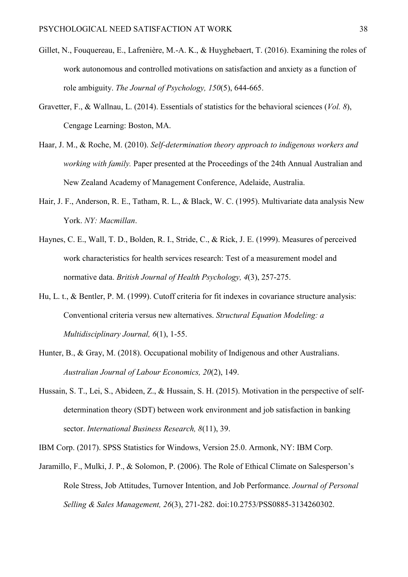- Gillet, N., Fouquereau, E., Lafrenière, M.-A. K., & Huyghebaert, T. (2016). Examining the roles of work autonomous and controlled motivations on satisfaction and anxiety as a function of role ambiguity. *The Journal of Psychology, 150*(5), 644-665.
- Gravetter, F., & Wallnau, L. (2014). Essentials of statistics for the behavioral sciences (*Vol. 8*), Cengage Learning: Boston, MA.
- Haar, J. M., & Roche, M. (2010). *Self-determination theory approach to indigenous workers and working with family.* Paper presented at the Proceedings of the 24th Annual Australian and New Zealand Academy of Management Conference, Adelaide, Australia.
- Hair, J. F., Anderson, R. E., Tatham, R. L., & Black, W. C. (1995). Multivariate data analysis New York. *NY: Macmillan*.
- Haynes, C. E., Wall, T. D., Bolden, R. I., Stride, C., & Rick, J. E. (1999). Measures of perceived work characteristics for health services research: Test of a measurement model and normative data. *British Journal of Health Psychology, 4*(3), 257-275.
- Hu, L. t., & Bentler, P. M. (1999). Cutoff criteria for fit indexes in covariance structure analysis: Conventional criteria versus new alternatives. *Structural Equation Modeling: a Multidisciplinary Journal, 6*(1), 1-55.
- Hunter, B., & Gray, M. (2018). Occupational mobility of Indigenous and other Australians. *Australian Journal of Labour Economics, 20*(2), 149.
- Hussain, S. T., Lei, S., Abideen, Z., & Hussain, S. H. (2015). Motivation in the perspective of selfdetermination theory (SDT) between work environment and job satisfaction in banking sector. *International Business Research, 8*(11), 39.
- IBM Corp. (2017). SPSS Statistics for Windows, Version 25.0. Armonk, NY: IBM Corp.
- Jaramillo, F., Mulki, J. P., & Solomon, P. (2006). The Role of Ethical Climate on Salesperson's Role Stress, Job Attitudes, Turnover Intention, and Job Performance. *Journal of Personal Selling & Sales Management, 26*(3), 271-282. doi:10.2753/PSS0885-3134260302.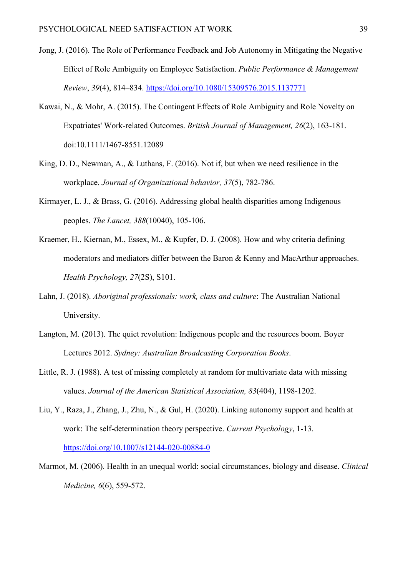- Jong, J. (2016). The Role of Performance Feedback and Job Autonomy in Mitigating the Negative Effect of Role Ambiguity on Employee Satisfaction. *Public Performance & Management Review*, *39*(4), 814–834.<https://doi.org/10.1080/15309576.2015.1137771>
- Kawai, N., & Mohr, A. (2015). The Contingent Effects of Role Ambiguity and Role Novelty on Expatriates' Work-related Outcomes. *British Journal of Management, 26*(2), 163-181. doi:10.1111/1467-8551.12089
- King, D. D., Newman, A., & Luthans, F. (2016). Not if, but when we need resilience in the workplace. *Journal of Organizational behavior, 37*(5), 782-786.
- Kirmayer, L. J., & Brass, G. (2016). Addressing global health disparities among Indigenous peoples. *The Lancet, 388*(10040), 105-106.
- Kraemer, H., Kiernan, M., Essex, M., & Kupfer, D. J. (2008). How and why criteria defining moderators and mediators differ between the Baron & Kenny and MacArthur approaches. *Health Psychology, 27*(2S), S101.
- Lahn, J. (2018). *Aboriginal professionals: work, class and culture*: The Australian National University.
- Langton, M. (2013). The quiet revolution: Indigenous people and the resources boom. Boyer Lectures 2012. *Sydney: Australian Broadcasting Corporation Books*.
- Little, R. J. (1988). A test of missing completely at random for multivariate data with missing values. *Journal of the American Statistical Association, 83*(404), 1198-1202.
- Liu, Y., Raza, J., Zhang, J., Zhu, N., & Gul, H. (2020). Linking autonomy support and health at work: The self-determination theory perspective. *Current Psychology*, 1-13. <https://doi.org/10.1007/s12144-020-00884-0>
- Marmot, M. (2006). Health in an unequal world: social circumstances, biology and disease. *Clinical Medicine, 6*(6), 559-572.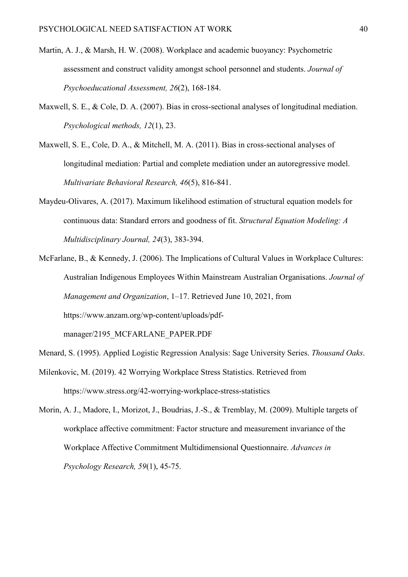- Martin, A. J., & Marsh, H. W. (2008). Workplace and academic buoyancy: Psychometric assessment and construct validity amongst school personnel and students. *Journal of Psychoeducational Assessment, 26*(2), 168-184.
- Maxwell, S. E., & Cole, D. A. (2007). Bias in cross-sectional analyses of longitudinal mediation. *Psychological methods, 12*(1), 23.
- Maxwell, S. E., Cole, D. A., & Mitchell, M. A. (2011). Bias in cross-sectional analyses of longitudinal mediation: Partial and complete mediation under an autoregressive model. *Multivariate Behavioral Research, 46*(5), 816-841.
- Maydeu-Olivares, A. (2017). Maximum likelihood estimation of structural equation models for continuous data: Standard errors and goodness of fit. *Structural Equation Modeling: A Multidisciplinary Journal, 24*(3), 383-394.
- McFarlane, B., & Kennedy, J. (2006). The Implications of Cultural Values in Workplace Cultures: Australian Indigenous Employees Within Mainstream Australian Organisations. *Journal of Management and Organization*, 1–17. Retrieved June 10, 2021, from https://www.anzam.org/wp-content/uploads/pdf-

manager/2195\_MCFARLANE\_PAPER.PDF

- Menard, S. (1995). Applied Logistic Regression Analysis: Sage University Series. *Thousand Oaks*. Milenkovic, M. (2019). 42 Worrying Workplace Stress Statistics. Retrieved from https://www.stress.org/42-worrying-workplace-stress-statistics
- Morin, A. J., Madore, I., Morizot, J., Boudrias, J.-S., & Tremblay, M. (2009). Multiple targets of workplace affective commitment: Factor structure and measurement invariance of the Workplace Affective Commitment Multidimensional Questionnaire. *Advances in Psychology Research, 59*(1), 45-75.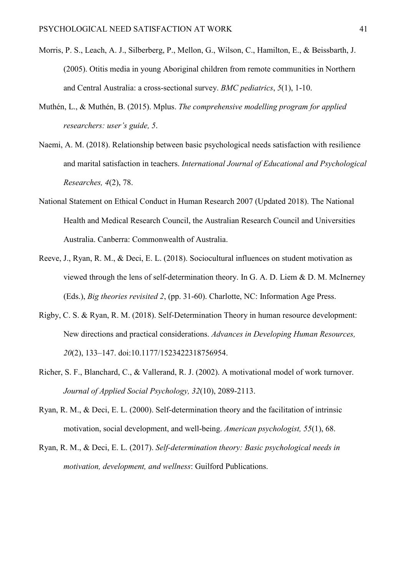- Morris, P. S., Leach, A. J., Silberberg, P., Mellon, G., Wilson, C., Hamilton, E., & Beissbarth, J. (2005). Otitis media in young Aboriginal children from remote communities in Northern and Central Australia: a cross-sectional survey. *BMC pediatrics*, *5*(1), 1-10.
- Muthén, L., & Muthén, B. (2015). Mplus. *The comprehensive modelling program for applied researchers: user's guide, 5*.
- Naemi, A. M. (2018). Relationship between basic psychological needs satisfaction with resilience and marital satisfaction in teachers. *International Journal of Educational and Psychological Researches, 4*(2), 78.
- National Statement on Ethical Conduct in Human Research 2007 (Updated 2018). The National Health and Medical Research Council, the Australian Research Council and Universities Australia. Canberra: Commonwealth of Australia.
- Reeve, J., Ryan, R. M., & Deci, E. L. (2018). Sociocultural influences on student motivation as viewed through the lens of self-determination theory. In G. A. D. Liem & D. M. McInerney (Eds.), *Big theories revisited 2*, (pp. 31-60). Charlotte, NC: Information Age Press.
- Rigby, C. S. & Ryan, R. M. (2018). Self-Determination Theory in human resource development: New directions and practical considerations. *Advances in Developing Human Resources, 20*(2), 133–147. doi:10.1177/1523422318756954.
- Richer, S. F., Blanchard, C., & Vallerand, R. J. (2002). A motivational model of work turnover. *Journal of Applied Social Psychology, 32*(10), 2089-2113.
- Ryan, R. M., & Deci, E. L. (2000). Self-determination theory and the facilitation of intrinsic motivation, social development, and well-being. *American psychologist, 55*(1), 68.
- Ryan, R. M., & Deci, E. L. (2017). *Self-determination theory: Basic psychological needs in motivation, development, and wellness*: Guilford Publications.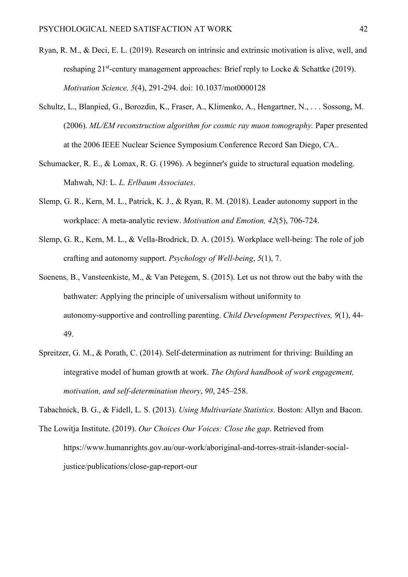- Ryan, R. M., & Deci, E. L. (2019). Research on intrinsic and extrinsic motivation is alive, well, and reshaping  $21^{st}$ -century management approaches: Brief reply to Locke & Schattke (2019). *Motivation Science, 5*(4), 291-294. doi: 10.1037/mot0000128
- Schultz, L., Blanpied, G., Borozdin, K., Fraser, A., Klimenko, A., Hengartner, N., . . . Sossong, M. (2006). *ML/EM reconstruction algorithm for cosmic ray muon tomography.* Paper presented at the 2006 IEEE Nuclear Science Symposium Conference Record San Diego, CA..
- Schumacker, R. E., & Lomax, R. G. (1996). A beginner's guide to structural equation modeling. Mahwah, NJ: L. *L. Erlbaum Associates*.
- Slemp, G. R., Kern, M. L., Patrick, K. J., & Ryan, R. M. (2018). Leader autonomy support in the workplace: A meta-analytic review. *Motivation and Emotion, 42*(5), 706-724.
- Slemp, G. R., Kern, M. L., & Vella-Brodrick, D. A. (2015). Workplace well-being: The role of job crafting and autonomy support. *Psychology of Well-being*, *5*(1), 7.
- Soenens, B., Vansteenkiste, M., & Van Petegem, S. (2015). Let us not throw out the baby with the bathwater: Applying the principle of universalism without uniformity to autonomy-supportive and controlling parenting. *Child Development Perspectives*, 9(1), 44-49.
- Spreitzer, G. M., & Porath, C. (2014). Self-determination as nutriment for thriving: Building an integrative model of human growth at work. *The Oxford handbook of work engagement, motivation, and self-determination theory*, *90*, 245–258.

Tabachnick, B. G., & Fidell, L. S. (2013). *Using Multivariate Statistics*. Boston: Allyn and Bacon.

The Lowitja Institute. (2019). *Our Choices Our Voices: Close the gap*. Retrieved from https://www.humanrights.gov.au/our-work/aboriginal-and-torres-strait-islander-socialjustice/publications/close-gap-report-our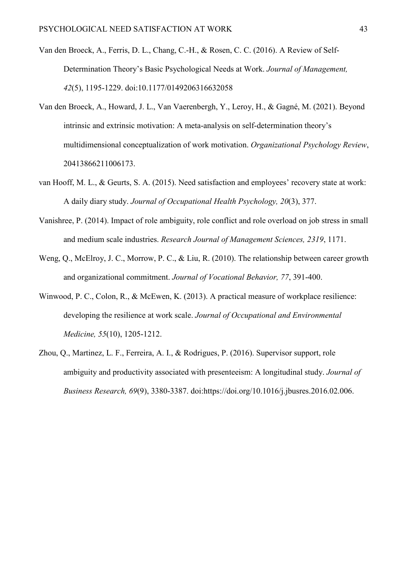- Van den Broeck, A., Ferris, D. L., Chang, C.-H., & Rosen, C. C. (2016). A Review of Self-Determination Theory's Basic Psychological Needs at Work. *Journal of Management, 42*(5), 1195-1229. doi:10.1177/0149206316632058
- Van den Broeck, A., Howard, J. L., Van Vaerenbergh, Y., Leroy, H., & Gagné, M. (2021). Beyond intrinsic and extrinsic motivation: A meta-analysis on self-determination theory's multidimensional conceptualization of work motivation. *Organizational Psychology Review*, 20413866211006173.
- van Hooff, M. L., & Geurts, S. A. (2015). Need satisfaction and employees' recovery state at work: A daily diary study. *Journal of Occupational Health Psychology, 20*(3), 377.
- Vanishree, P. (2014). Impact of role ambiguity, role conflict and role overload on job stress in small and medium scale industries. *Research Journal of Management Sciences, 2319*, 1171.
- Weng, Q., McElroy, J. C., Morrow, P. C., & Liu, R. (2010). The relationship between career growth and organizational commitment. *Journal of Vocational Behavior, 77*, 391-400.
- Winwood, P. C., Colon, R., & McEwen, K. (2013). A practical measure of workplace resilience: developing the resilience at work scale. *Journal of Occupational and Environmental Medicine, 55*(10), 1205-1212.
- Zhou, Q., Martinez, L. F., Ferreira, A. I., & Rodrigues, P. (2016). Supervisor support, role ambiguity and productivity associated with presenteeism: A longitudinal study. *Journal of Business Research, 69*(9), 3380-3387. doi:https://doi.org/10.1016/j.jbusres.2016.02.006.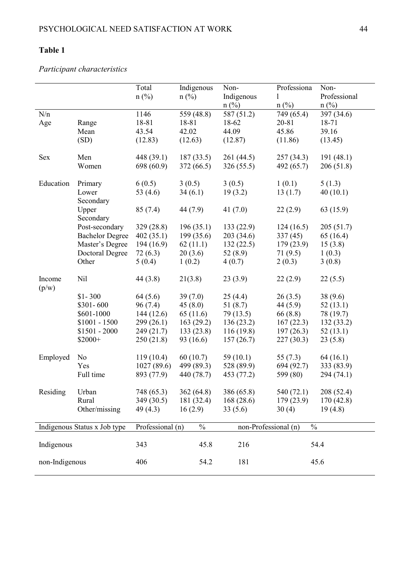# **Table 1**

# *Participant characteristics*

|                 |                              | Total<br>$n$ (%) | Indigenous<br>$n(^{0}/_{0})$ | Non-<br>Indigenous<br>$n(^{0}/_{0})$ | Professiona<br>1<br>$n$ (%) | Non-<br>Professional<br>$n$ (%) |  |  |  |
|-----------------|------------------------------|------------------|------------------------------|--------------------------------------|-----------------------------|---------------------------------|--|--|--|
| N/n             |                              | 1146             | 559 (48.8)                   | 587 (51.2)                           | 749 (65.4)                  | 397 (34.6)                      |  |  |  |
| Age             | Range                        | 18-81            | 18-81                        | 18-62                                | 20-81                       | 18-71                           |  |  |  |
|                 | Mean                         | 43.54            | 42.02                        | 44.09                                | 45.86                       | 39.16                           |  |  |  |
|                 | (SD)                         | (12.83)          | (12.63)                      | (12.87)                              | (11.86)                     | (13.45)                         |  |  |  |
| Sex             | Men                          | 448 (39.1)       | 187(33.5)                    | 261 (44.5)                           | 257 (34.3)                  | 191(48.1)                       |  |  |  |
|                 | Women                        | 698 (60.9)       | 372(66.5)                    | 326 (55.5)                           | 492 (65.7)                  | 206(51.8)                       |  |  |  |
| Education       | Primary                      | 6(0.5)           | 3(0.5)                       | 3(0.5)                               | 1(0.1)                      | 5(1.3)                          |  |  |  |
|                 | Lower<br>Secondary           | 53 $(4.6)$       | 34(6.1)                      | 19(3.2)                              | 13(1.7)                     | 40(10.1)                        |  |  |  |
|                 | Upper<br>Secondary           | 85(7.4)          | 44 (7.9)                     | 41 $(7.0)$                           | 22(2.9)                     | 63 (15.9)                       |  |  |  |
|                 | Post-secondary               | 329(28.8)        | 196(35.1)                    | 133 (22.9)                           | 124(16.5)                   | 205(51.7)                       |  |  |  |
|                 | <b>Bachelor Degree</b>       | 402(35.1)        | 199(35.6)                    | 203 (34.6)                           | 337(45)                     | 65(16.4)                        |  |  |  |
|                 | Master's Degree              | 194 (16.9)       | 62(11.1)                     | 132(22.5)                            | 179 (23.9)                  | 15(3.8)                         |  |  |  |
|                 | <b>Doctoral Degree</b>       | 72(6.3)          | 20(3.6)                      | 52 $(8.9)$                           | 71(9.5)                     | 1(0.3)                          |  |  |  |
|                 | Other                        | 5(0.4)           | 1(0.2)                       | 4(0.7)                               | 2(0.3)                      | 3(0.8)                          |  |  |  |
| Income<br>(p/w) | Nil                          | 44(3.8)          | 21(3.8)                      | 23(3.9)                              | 22(2.9)                     | 22(5.5)                         |  |  |  |
|                 | $$1-300$                     | 64(5.6)          | 39(7.0)                      | 25(4.4)                              | 26(3.5)                     | 38(9.6)                         |  |  |  |
|                 | $$301 - 600$                 | 96(7.4)          | 45(8.0)                      | 51(8.7)                              | 44(5.9)                     | 52(13.1)                        |  |  |  |
|                 | \$601-1000                   | 144 (12.6)       | 65(11.6)                     | 79 (13.5)                            | 66(8.8)                     | 78 (19.7)                       |  |  |  |
|                 | $$1001 - 1500$               | 299 (26.1)       | 163(29.2)                    | 136(23.2)                            | 167(22.3)                   | 132(33.2)                       |  |  |  |
|                 | $$1501 - 2000$               | 249 (21.7)       | 133(23.8)                    | 116(19.8)                            | 197(26.3)                   | 52(13.1)                        |  |  |  |
|                 | $$2000+$                     | 250(21.8)        | 93 (16.6)                    | 157(26.7)                            | 227(30.3)                   | 23(5.8)                         |  |  |  |
| Employed        | No                           | 119(10.4)        | 60(10.7)                     | 59 $(10.1)$                          | 55 $(7.3)$                  | 64(16.1)                        |  |  |  |
|                 | Yes                          | 1027(89.6)       | 499 (89.3)                   | 528 (89.9)                           | 694 (92.7)                  | 333 (83.9)                      |  |  |  |
|                 | Full time                    | 893 (77.9)       | 440 (78.7)                   | 453 (77.2)                           | 599 (80)                    | 294 (74.1)                      |  |  |  |
| Residing        | Urban                        | 748 (65.3)       | 362(64.8)                    | 386 (65.8)                           | 540 (72.1)                  | 208 (52.4)                      |  |  |  |
|                 | Rural                        | 349 (30.5)       | 181 (32.4)                   | 168(28.6)                            | 179 (23.9)                  | 170 (42.8)                      |  |  |  |
|                 | Other/missing                | 49(4.3)          | 16(2.9)                      | 33(5.6)                              | 30(4)                       | 19(4.8)                         |  |  |  |
|                 | Indigenous Status x Job type | Professional (n) | $\%$                         | non-Professional (n)                 | $\%$                        |                                 |  |  |  |
| Indigenous      |                              | 343              | 45.8                         | 216                                  |                             | 54.4                            |  |  |  |
| non-Indigenous  |                              | 406              | 54.2                         | 181                                  |                             | 45.6                            |  |  |  |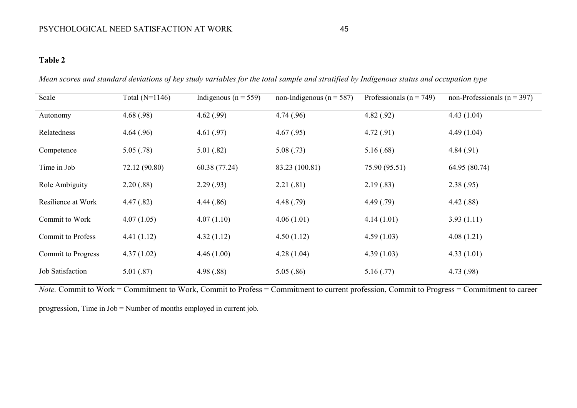# **Table 2**

| Scale                     | Total $(N=1146)$ | Indigenous ( $n = 559$ ) | non-Indigenous ( $n = 587$ ) | Professionals ( $n = 749$ ) | non-Professionals ( $n = 397$ ) |
|---------------------------|------------------|--------------------------|------------------------------|-----------------------------|---------------------------------|
| Autonomy                  | 4.68(.98)        | 4.62(.99)                | 4.74(.96)                    | 4.82(.92)                   | 4.43(1.04)                      |
| Relatedness               | 4.64(.96)        | 4.61(.97)                | 4.67(.95)                    | 4.72(.91)                   | 4.49(1.04)                      |
| Competence                | 5.05(.78)        | 5.01(.82)                | 5.08(.73)                    | 5.16(.68)                   | 4.84(.91)                       |
| Time in Job               | 72.12 (90.80)    | 60.38 (77.24)            | 83.23 (100.81)               | 75.90 (95.51)               | 64.95 (80.74)                   |
| Role Ambiguity            | 2.20(.88)        | 2.29(.93)                | 2.21(.81)                    | 2.19(0.83)                  | 2.38(.95)                       |
| Resilience at Work        | 4.47(.82)        | 4.44(.86)                | 4.48(.79)                    | 4.49(0.79)                  | 4.42(.88)                       |
| Commit to Work            | 4.07(1.05)       | 4.07(1.10)               | 4.06(1.01)                   | 4.14(1.01)                  | 3.93(1.11)                      |
| <b>Commit to Profess</b>  | 4.41(1.12)       | 4.32(1.12)               | 4.50(1.12)                   | 4.59(1.03)                  | 4.08(1.21)                      |
| <b>Commit to Progress</b> | 4.37(1.02)       | 4.46(1.00)               | 4.28(1.04)                   | 4.39(1.03)                  | 4.33(1.01)                      |
| Job Satisfaction          | 5.01(.87)        | 4.98(.88)                | 5.05(.86)                    | 5.16(.77)                   | 4.73(0.98)                      |

*Mean scores and standard deviations of key study variables for the total sample and stratified by Indigenous status and occupation type*

*Note.* Commit to Work = Commitment to Work, Commit to Profess = Commitment to current profession, Commit to Progress = Commitment to career

progression, Time in Job = Number of months employed in current job.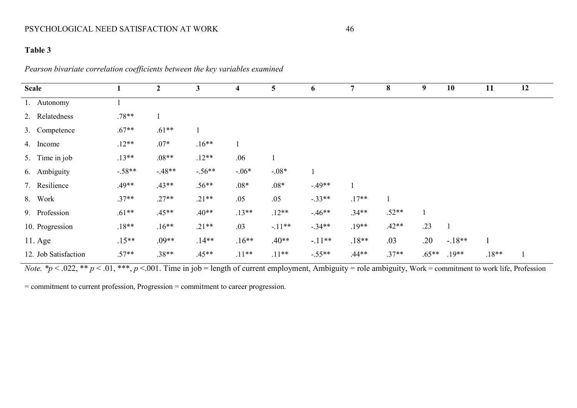# PSYCHOLOGICAL NEED SATISFACTION AT WORK 46

# **Table 3**

*Pearson bivariate correlation coefficients between the key variables examined*

| <b>Scale</b>         | 1        | $\boldsymbol{2}$ | $\mathbf{3}$ | 4            | 5        | 6        | $\overline{7}$ | 8       | 9       | 10      | 11           | 12 |
|----------------------|----------|------------------|--------------|--------------|----------|----------|----------------|---------|---------|---------|--------------|----|
|                      |          |                  |              |              |          |          |                |         |         |         |              |    |
| 1. Autonomy          |          |                  |              |              |          |          |                |         |         |         |              |    |
| 2. Relatedness       | $.78**$  |                  |              |              |          |          |                |         |         |         |              |    |
| 3. Competence        | $.67**$  | $.61**$          |              |              |          |          |                |         |         |         |              |    |
| 4. Income            | $.12**$  | $.07*$           | $.16**$      | $\mathbf{1}$ |          |          |                |         |         |         |              |    |
| 5. Time in job       | $.13**$  | $.08**$          | $.12**$      | .06          |          |          |                |         |         |         |              |    |
| 6. Ambiguity         | $-.58**$ | $-.48**$         | $-.56**$     | $-.06*$      | $-.08*$  |          |                |         |         |         |              |    |
| 7. Resilience        | $.49**$  | $.43**$          | $.56**$      | $.08*$       | $.08*$   | $-.49**$ |                |         |         |         |              |    |
| 8. Work              | $.37**$  | $.27**$          | $.21**$      | .05          | .05      | $-.33**$ | $.17**$        |         |         |         |              |    |
| 9. Profession        | $.61**$  | $.45**$          | $.40**$      | $.13**$      | $.12**$  | $-46**$  | $.34**$        | $.52**$ |         |         |              |    |
| 10. Progression      | $.18**$  | $.16**$          | $.21**$      | .03          | $-.11**$ | $-.34**$ | $.19**$        | $.42**$ | .23     |         |              |    |
| $11. \text{Age}$     | $.15**$  | $.09**$          | $.14**$      | $.16**$      | $.40**$  | $-.11**$ | $.18**$        | .03     | .20     | $-18**$ | $\mathbf{1}$ |    |
| 12. Job Satisfaction | $.57**$  | $.38**$          | $.45**$      | $.11**$      | $.11***$ | $-.55**$ | $.44**$        | $.37**$ | $.65**$ | $.19**$ | $.18**$      |    |

*Note.*  $*p < .022$ ,  $** p < .01$ ,  $***$ ,  $p < .001$ . Time in job = length of current employment, Ambiguity = role ambiguity, Work = commitment to work life, Profession

= commitment to current profession, Progression = commitment to career progression.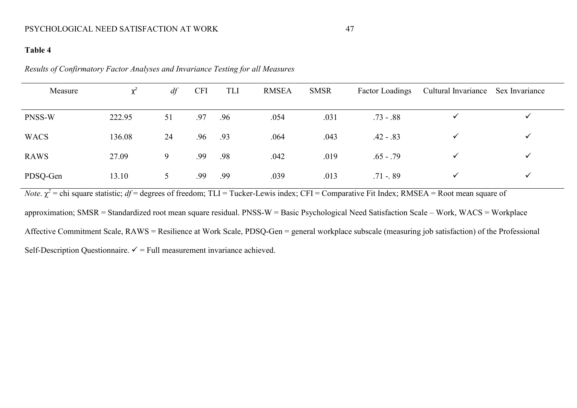# **Table 4**

*Results of Confirmatory Factor Analyses and Invariance Testing for all Measures*

| Measure     | $\chi^2$ | df | <b>CFI</b><br><b>RMSEA</b><br>TLI |     | <b>SMSR</b> | <b>Factor Loadings</b> | Cultural Invariance Sex Invariance |              |              |
|-------------|----------|----|-----------------------------------|-----|-------------|------------------------|------------------------------------|--------------|--------------|
| PNSS-W      | 222.95   | 51 | .97                               | .96 | .054        | .031                   | $.73 - .88$                        |              | ✔            |
| <b>WACS</b> | 136.08   | 24 | .96                               | .93 | .064        | .043                   | $.42 - .83$                        | ✓            | ✔            |
| RAWS        | 27.09    | 9  | .99                               | .98 | .042        | .019                   | $.65 - .79$                        | $\checkmark$ | $\checkmark$ |
| PDSQ-Gen    | 13.10    | 5  | .99                               | .99 | .039        | .013                   | $.71 - 89$                         | $\checkmark$ | ✓            |

*Note*.  $\chi^2$  = chi square statistic; *df* = degrees of freedom; TLI = Tucker-Lewis index; CFI = Comparative Fit Index; RMSEA = Root mean square of

approximation; SMSR = Standardized root mean square residual. PNSS-W = Basic Psychological Need Satisfaction Scale – Work, WACS = Workplace

Affective Commitment Scale, RAWS = Resilience at Work Scale, PDSQ-Gen = general workplace subscale (measuring job satisfaction) of the Professional

Self-Description Questionnaire.  $\checkmark$  = Full measurement invariance achieved.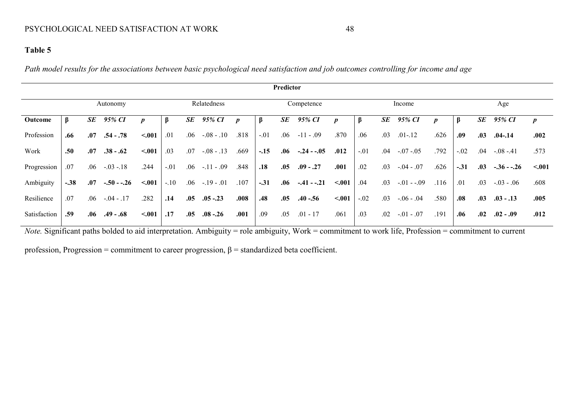# **Table 5**

*Path model results for the associations between basic psychological need satisfaction and job outcomes controlling for income and age* 

| Predictor    |        |         |            |                  |        |     |             |      |        |     |              |        |        |           |              |      |         |     |              |                  |
|--------------|--------|---------|------------|------------------|--------|-----|-------------|------|--------|-----|--------------|--------|--------|-----------|--------------|------|---------|-----|--------------|------------------|
|              |        |         | Autonomy   |                  |        |     | Relatedness |      |        |     | Competence   |        |        |           | Income       |      |         |     | Age          |                  |
| Outcome      | β      | SE      | 95% CI     | $\boldsymbol{D}$ | β      | SE  | 95% CI      | p    | β      | SE  | 95% CI       | D      |        | <b>SE</b> | 95% CI       | D    | $\beta$ | SE  | 95% CI       | $\boldsymbol{p}$ |
| Profession   | .66    | .07     | $.54-.78$  | $-.001$          | .01    | .06 | $-.08-.10$  | .818 | $-.01$ | .06 | $-11 - .09$  | .870   | .06    | .03       | $.01 - .12$  | .626 | .09     | .03 | $.04 - .14$  | .002             |
| Work         | .50    | .07     | $.38-.62$  | < .001           | .03    | .07 | $-.08-.13$  | .669 | $-.15$ | .06 | $-.24 - .05$ | .012   | $-.01$ | .04       | $-.07-.05$   | .792 | $-.02$  | .04 | $-.08-.41$   | .573             |
| Progression  | .07    | .06     | $-.03-.18$ | .244             | $-.01$ | .06 | $-.11-.09$  | .848 | .18    | .05 | $.09 - .27$  | .001   | .02    | .03       | $-.04-.07$   | .626 | $-.31$  | .03 | $-.36 - .26$ | < 0.01           |
| Ambiguity    | $-.38$ | .07     | $-.50-.26$ | $-.001$          | $-.10$ | .06 | $-.19-.01$  | .107 | $-.31$ | .06 | $-.41-.21$   | < .001 | .04    | .03       | $-.01 - .09$ | .116 | .01     | .03 | $-.03-.06$   | .608             |
| Resilience   | .07    | .06     | $-.04-.17$ | .282             | .14    | .05 | $.05 - .23$ | .008 | .48    | .05 | $.40 - .56$  | < .001 | $-.02$ | .03       | $-.06-.04$   | .580 | .08     | .03 | $.03 - .13$  | .005             |
| Satisfaction | .59    | $.06\,$ | $.49-.68$  | < .001           | .17    | .05 | $.08 - .26$ | .001 | .09    | .05 | $.01 - 17$   | .061   | .03    | .02       | $-.01-.07$   | .191 | .06     | .02 | $.02-.09$    | .012             |

*Note.* Significant paths bolded to aid interpretation. Ambiguity = role ambiguity, Work = commitment to work life, Profession = commitment to current

profession, Progression = commitment to career progression,  $\beta$  = standardized beta coefficient.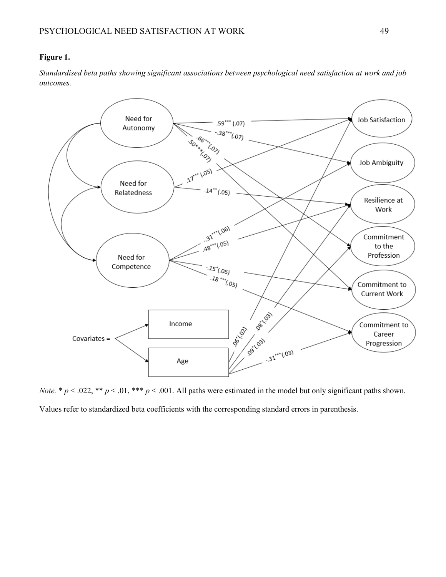# **Figure 1.**

*Standardised beta paths showing significant associations between psychological need satisfaction at work and job outcomes.*



*Note.* \*  $p < .022$ , \*\*  $p < .01$ , \*\*\*  $p < .001$ . All paths were estimated in the model but only significant paths shown.

Values refer to standardized beta coefficients with the corresponding standard errors in parenthesis.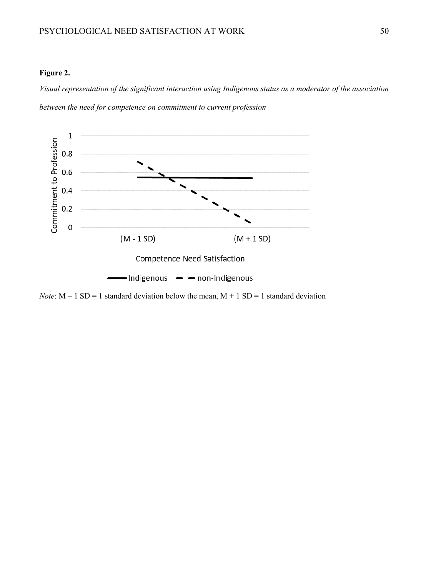#### **Figure 2.**

*Visual representation of the significant interaction using Indigenous status as a moderator of the association between the need for competence on commitment to current profession*



*Note*:  $M - 1 SD = 1$  standard deviation below the mean,  $M + 1 SD = 1$  standard deviation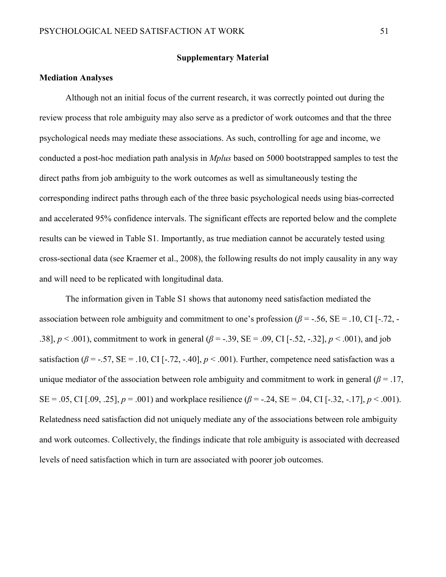#### **Supplementary Material**

#### **Mediation Analyses**

Although not an initial focus of the current research, it was correctly pointed out during the review process that role ambiguity may also serve as a predictor of work outcomes and that the three psychological needs may mediate these associations. As such, controlling for age and income, we conducted a post-hoc mediation path analysis in *Mplus* based on 5000 bootstrapped samples to test the direct paths from job ambiguity to the work outcomes as well as simultaneously testing the corresponding indirect paths through each of the three basic psychological needs using bias-corrected and accelerated 95% confidence intervals. The significant effects are reported below and the complete results can be viewed in Table S1. Importantly, as true mediation cannot be accurately tested using cross-sectional data (see Kraemer et al., 2008), the following results do not imply causality in any way and will need to be replicated with longitudinal data.

The information given in Table S1 shows that autonomy need satisfaction mediated the association between role ambiguity and commitment to one's profession  $(\beta = -0.56, \text{SE} = 0.10, \text{CI} [-0.72, -0.72])$ .38],  $p < .001$ ), commitment to work in general ( $\beta = -.39$ , SE = .09, CI [-.52, -.32],  $p < .001$ ), and job satisfaction ( $\beta$  = -.57, SE = .10, CI [-.72, -.40],  $p < .001$ ). Further, competence need satisfaction was a unique mediator of the association between role ambiguity and commitment to work in general ( $\beta$  = .17, SE = .05, CI [.09, .25],  $p = .001$ ) and workplace resilience ( $\beta = -.24$ , SE = .04, CI [-.32, -.17],  $p < .001$ ). Relatedness need satisfaction did not uniquely mediate any of the associations between role ambiguity and work outcomes. Collectively, the findings indicate that role ambiguity is associated with decreased levels of need satisfaction which in turn are associated with poorer job outcomes.